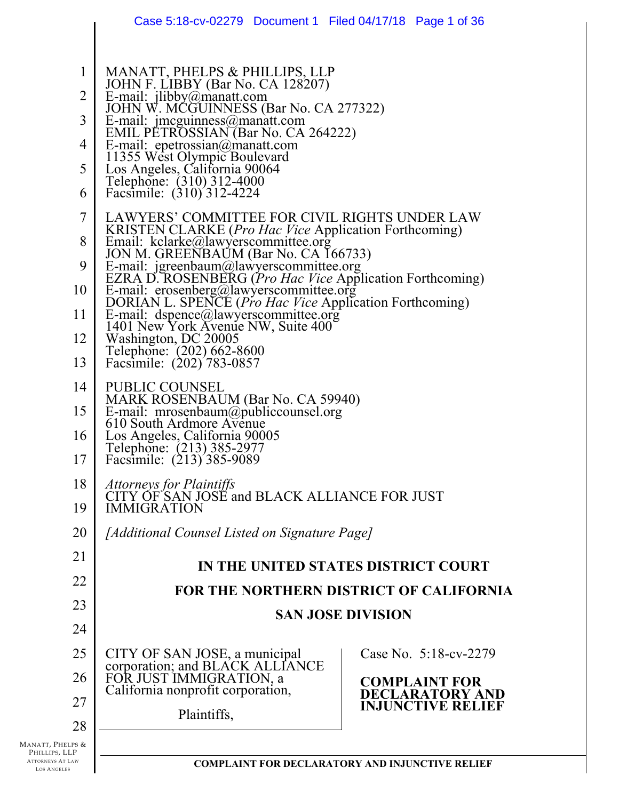|                                               | Case 5:18-cv-02279 Document 1 Filed 04/17/18 Page 1 of 36                                                                             |                                                    |
|-----------------------------------------------|---------------------------------------------------------------------------------------------------------------------------------------|----------------------------------------------------|
|                                               |                                                                                                                                       |                                                    |
| $\mathbf{1}$                                  | MANATT, PHELPS & PHILLIPS, LLP<br>JOHN F. LIBBY (Bar No. CA 128207)                                                                   |                                                    |
| 2                                             | E-mail: jlibby@manatt.com<br>JOHN W. MCGUINNESS (Bar No. CA 277322)                                                                   |                                                    |
| 3                                             | E-mail: $\text{imegu}$ mess $\textcircled{a}$ manatt.com<br>EMIL PETROSSIAN (Bar No. CA 264222)                                       |                                                    |
| 4                                             | E-mail: epetrossian@manatt.com<br>11355 West Olympic Boulevard                                                                        |                                                    |
| 5                                             | Los Angeles, California 90064<br>Telephone: (310) 312-4000                                                                            |                                                    |
| 6                                             | Facsimile: (310) 312-4224                                                                                                             |                                                    |
| 7                                             | LAWYERS' COMMITTEE FOR CIVIL RIGHTS UNDER LAW<br>KRISTEN CLARKE ( <i>Pro Hac Vice</i> Application Forthcoming)                        |                                                    |
| 8                                             | Email: kclarke@lawyerscommittee.org                                                                                                   |                                                    |
| 9                                             | JON M. GREENBAUM (Bar No. CA 166733)<br>E-mail: jgreenbaum@lawyerscommittee.org                                                       |                                                    |
| 10                                            | EZRA D. ROSENBERG ( <i>Pro Hac Vice</i> Application Forthcoming)<br>E-mail: erosenberg@lawyerscommittee.org                           |                                                    |
| 11                                            | DORIAN L. SPENCE (Pro Hac Vice Application Forthcoming)<br>E-mail: dspence@lawyerscommittee.org<br>1401 New York Avenue NW, Suite 400 |                                                    |
| 12                                            | Washington, DC 20005                                                                                                                  |                                                    |
| 13                                            | Telephone: (202) 662-8600<br>Facsimile: (202) 783-0857                                                                                |                                                    |
| 14                                            | <b>PUBLIC COUNSEL</b>                                                                                                                 |                                                    |
| 15 <sub>1</sub>                               | MARK ROSENBAUM (Bar No. CA 59940)<br>E-mail: mrosenbaum@publiccounsel.org                                                             |                                                    |
| 16 <sup>1</sup>                               | 610 South Ardmore Avenue<br>Los Angeles, California 90005                                                                             |                                                    |
| 17                                            | Telephone: (213) 385-2977<br>Facsimile: (213) 385-9089                                                                                |                                                    |
| 18                                            |                                                                                                                                       |                                                    |
| 19                                            | Attorneys for Plaintiffs<br>CITY OF SAN JOSE and BLACK ALLIANCE FOR JUST<br>IMMIGRATION                                               |                                                    |
| 20                                            | [Additional Counsel Listed on Signature Page]                                                                                         |                                                    |
| 21                                            |                                                                                                                                       | IN THE UNITED STATES DISTRICT COURT                |
| 22                                            |                                                                                                                                       | <b>FOR THE NORTHERN DISTRICT OF CALIFORNIA</b>     |
| 23                                            |                                                                                                                                       | <b>SAN JOSE DIVISION</b>                           |
| 24                                            |                                                                                                                                       |                                                    |
| 25                                            |                                                                                                                                       | Case No. 5:18-cv-2279                              |
| 26                                            | CITY OF SAN JOSE, a municipal<br>corporation; and BLACK ALLIANCE<br>FOR JUST IMMIGRATION, a<br>California nonprofit corporation,      | <b>COMPLAINT FOR</b>                               |
| 27                                            |                                                                                                                                       | <b>DECLARATORY AND</b><br><b>INJUNCTIVE RELIEF</b> |
| 28                                            | Plaintiffs,                                                                                                                           |                                                    |
| Manatt, Phelps &<br>PHILLIPS, LLP             |                                                                                                                                       |                                                    |
| <b>ATTORNEYS AT LAW</b><br><b>LOS ANGELES</b> | <b>COMPLAINT FOR DECLARATORY AND INJUNCTIVE RELIEF</b>                                                                                |                                                    |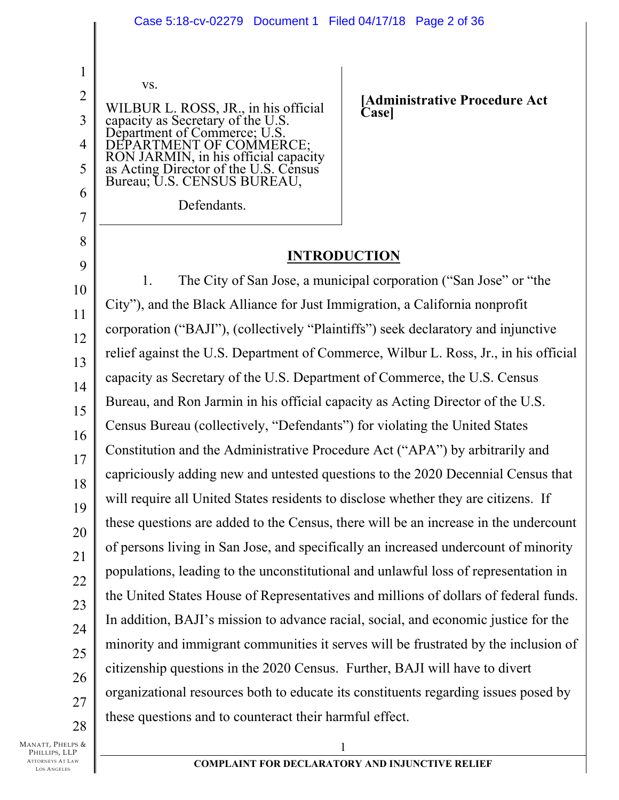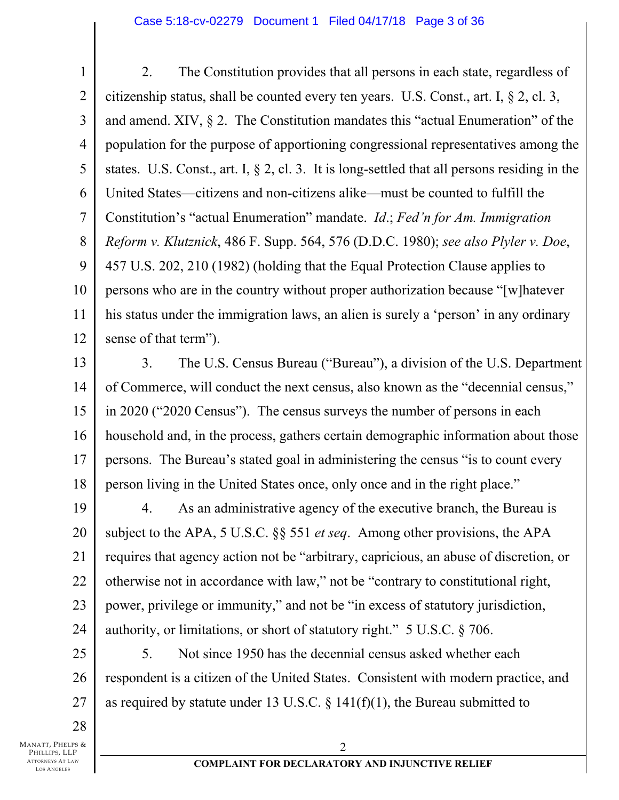1 2 3 4 5 6 7 8 9 10 11 12 2. The Constitution provides that all persons in each state, regardless of citizenship status, shall be counted every ten years. U.S. Const., art. I, § 2, cl. 3, and amend. XIV, § 2. The Constitution mandates this "actual Enumeration" of the population for the purpose of apportioning congressional representatives among the states. U.S. Const., art. I, § 2, cl. 3. It is long-settled that all persons residing in the United States—citizens and non-citizens alike—must be counted to fulfill the Constitution's "actual Enumeration" mandate. *Id*.; *Fed'n for Am. Immigration Reform v. Klutznick*, 486 F. Supp. 564, 576 (D.D.C. 1980); *see also Plyler v. Doe*, 457 U.S. 202, 210 (1982) (holding that the Equal Protection Clause applies to persons who are in the country without proper authorization because "[w]hatever his status under the immigration laws, an alien is surely a 'person' in any ordinary sense of that term").

13 14 15 16 17 18 3. The U.S. Census Bureau ("Bureau"), a division of the U.S. Department of Commerce, will conduct the next census, also known as the "decennial census," in 2020 ("2020 Census"). The census surveys the number of persons in each household and, in the process, gathers certain demographic information about those persons. The Bureau's stated goal in administering the census "is to count every person living in the United States once, only once and in the right place."

19 20 21 22 23 24 4. As an administrative agency of the executive branch, the Bureau is subject to the APA, 5 U.S.C. §§ 551 *et seq*. Among other provisions, the APA requires that agency action not be "arbitrary, capricious, an abuse of discretion, or otherwise not in accordance with law," not be "contrary to constitutional right, power, privilege or immunity," and not be "in excess of statutory jurisdiction, authority, or limitations, or short of statutory right." 5 U.S.C. § 706.

25 26 27 5. Not since 1950 has the decennial census asked whether each respondent is a citizen of the United States. Consistent with modern practice, and as required by statute under 13 U.S.C.  $\S$  141(f)(1), the Bureau submitted to

MANATT, PHELPS & PHILLIPS, LLP ATTORNEYS AT LAW

28

LOS ANGELES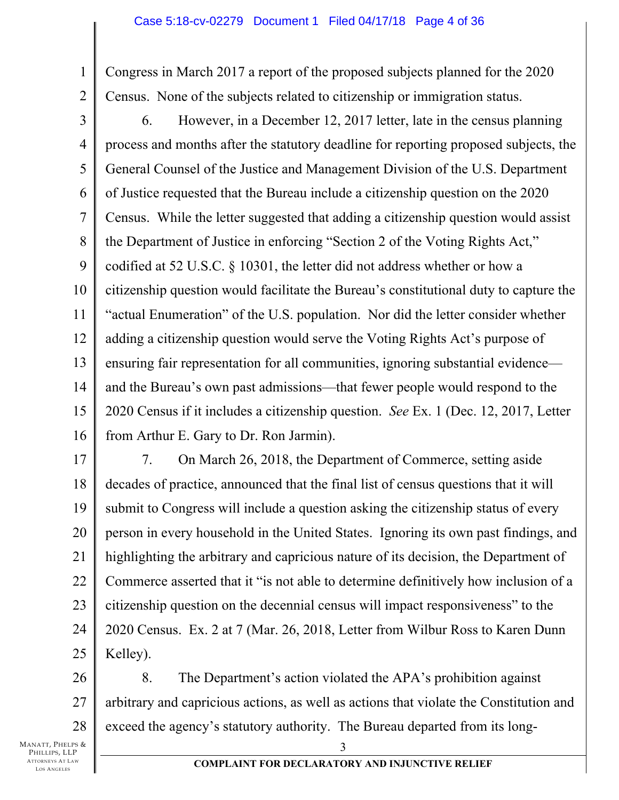Congress in March 2017 a report of the proposed subjects planned for the 2020 Census. None of the subjects related to citizenship or immigration status.

3 4 5 6 7 8 9 10 11 12 13 14 15 16 6. However, in a December 12, 2017 letter, late in the census planning process and months after the statutory deadline for reporting proposed subjects, the General Counsel of the Justice and Management Division of the U.S. Department of Justice requested that the Bureau include a citizenship question on the 2020 Census. While the letter suggested that adding a citizenship question would assist the Department of Justice in enforcing "Section 2 of the Voting Rights Act," codified at 52 U.S.C. § 10301, the letter did not address whether or how a citizenship question would facilitate the Bureau's constitutional duty to capture the "actual Enumeration" of the U.S. population. Nor did the letter consider whether adding a citizenship question would serve the Voting Rights Act's purpose of ensuring fair representation for all communities, ignoring substantial evidence and the Bureau's own past admissions—that fewer people would respond to the 2020 Census if it includes a citizenship question. *See* Ex. 1 (Dec. 12, 2017, Letter from Arthur E. Gary to Dr. Ron Jarmin).

17 18 19 20 21 22 23 24 25 7. On March 26, 2018, the Department of Commerce, setting aside decades of practice, announced that the final list of census questions that it will submit to Congress will include a question asking the citizenship status of every person in every household in the United States. Ignoring its own past findings, and highlighting the arbitrary and capricious nature of its decision, the Department of Commerce asserted that it "is not able to determine definitively how inclusion of a citizenship question on the decennial census will impact responsiveness" to the 2020 Census. Ex. 2 at 7 (Mar. 26, 2018, Letter from Wilbur Ross to Karen Dunn Kelley).

26 27 28 8. The Department's action violated the APA's prohibition against arbitrary and capricious actions, as well as actions that violate the Constitution and exceed the agency's statutory authority. The Bureau departed from its long-

MANATT, PHELPS & PHILLIPS, LLP ATTORNEYS AT LAW LOS ANGELES

1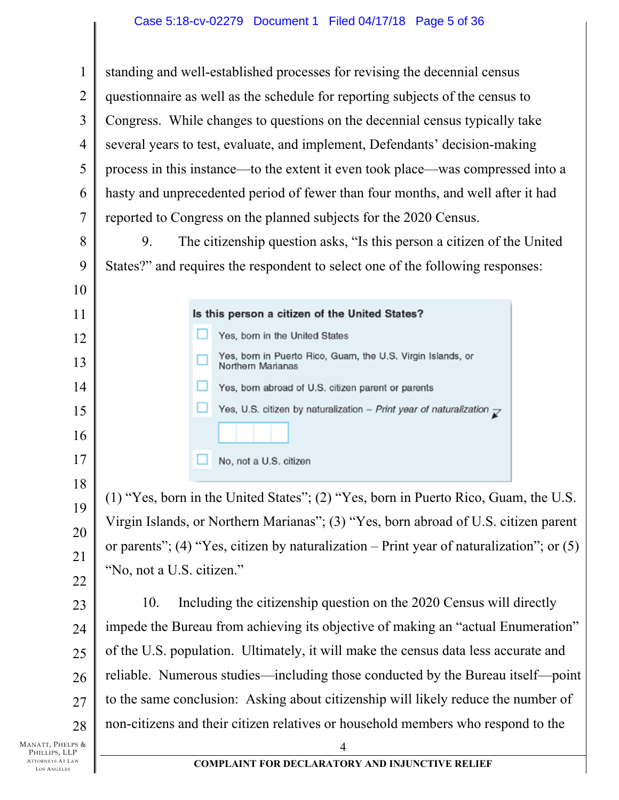| 1              | standing and well-established processes for revising the decennial census                   |  |  |
|----------------|---------------------------------------------------------------------------------------------|--|--|
| $\overline{2}$ | questionnaire as well as the schedule for reporting subjects of the census to               |  |  |
| 3              | Congress. While changes to questions on the decennial census typically take                 |  |  |
| 4              | several years to test, evaluate, and implement, Defendants' decision-making                 |  |  |
| 5              | process in this instance—to the extent it even took place—was compressed into a             |  |  |
| 6              | hasty and unprecedented period of fewer than four months, and well after it had             |  |  |
| $\overline{7}$ | reported to Congress on the planned subjects for the 2020 Census.                           |  |  |
| 8              | 9.<br>The citizenship question asks, "Is this person a citizen of the United                |  |  |
| 9              | States?" and requires the respondent to select one of the following responses:              |  |  |
| 10             |                                                                                             |  |  |
| 11             | Is this person a citizen of the United States?                                              |  |  |
| 12             | Yes, born in the United States                                                              |  |  |
| 13             | Yes, born in Puerto Rico, Guam, the U.S. Virgin Islands, or<br>Northern Marianas            |  |  |
| 14             | Yes, born abroad of U.S. citizen parent or parents                                          |  |  |
| 15             | Yes, U.S. citizen by naturalization - Print year of naturalization $\overline{\mathcal{L}}$ |  |  |
| 16             |                                                                                             |  |  |
| 17             | No, not a U.S. citizen                                                                      |  |  |
| 18             | (1) "Yes, born in the United States"; (2) "Yes, born in Puerto Rico, Guam, the U.S.         |  |  |
| 19             | Virgin Islands, or Northern Marianas"; (3) "Yes, born abroad of U.S. citizen parent         |  |  |
| 20             | or parents"; (4) "Yes, citizen by naturalization – Print year of naturalization"; or $(5)$  |  |  |
| 21             | "No, not a U.S. citizen."                                                                   |  |  |
| 22             |                                                                                             |  |  |
| 23             | Including the citizenship question on the 2020 Census will directly<br>10.                  |  |  |
| 24             | impede the Bureau from achieving its objective of making an "actual Enumeration"            |  |  |
| 25             | of the U.S. population. Ultimately, it will make the census data less accurate and          |  |  |
| 26             | reliable. Numerous studies—including those conducted by the Bureau itself—point             |  |  |
| 27             | to the same conclusion: Asking about citizenship will likely reduce the number of           |  |  |
| 28             | non-citizens and their citizen relatives or household members who respond to the            |  |  |

MANATT, PHELPS & PHILLIPS, LLP ATTORNEYS AT LAW LOS ANGELES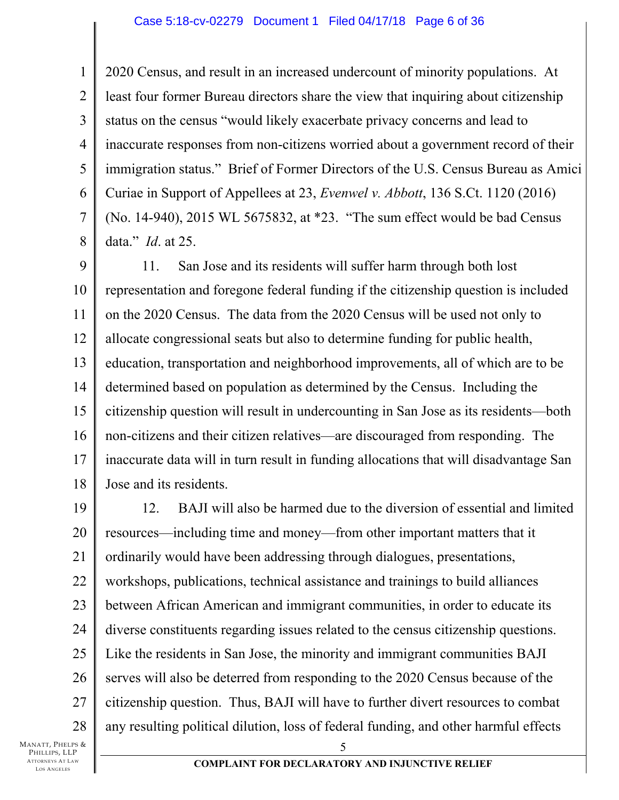3 4 2020 Census, and result in an increased undercount of minority populations. At least four former Bureau directors share the view that inquiring about citizenship status on the census "would likely exacerbate privacy concerns and lead to inaccurate responses from non-citizens worried about a government record of their immigration status." Brief of Former Directors of the U.S. Census Bureau as Amici Curiae in Support of Appellees at 23, *Evenwel v. Abbott*, 136 S.Ct. 1120 (2016) (No. 14-940), 2015 WL 5675832, at \*23. "The sum effect would be bad Census data." *Id*. at 25.

9 10 11 12 13 14 15 16 17 18 11. San Jose and its residents will suffer harm through both lost representation and foregone federal funding if the citizenship question is included on the 2020 Census. The data from the 2020 Census will be used not only to allocate congressional seats but also to determine funding for public health, education, transportation and neighborhood improvements, all of which are to be determined based on population as determined by the Census. Including the citizenship question will result in undercounting in San Jose as its residents—both non-citizens and their citizen relatives—are discouraged from responding. The inaccurate data will in turn result in funding allocations that will disadvantage San Jose and its residents.

19 20 21 22 23 24 25 26 27 28 12. BAJI will also be harmed due to the diversion of essential and limited resources—including time and money—from other important matters that it ordinarily would have been addressing through dialogues, presentations, workshops, publications, technical assistance and trainings to build alliances between African American and immigrant communities, in order to educate its diverse constituents regarding issues related to the census citizenship questions. Like the residents in San Jose, the minority and immigrant communities BAJI serves will also be deterred from responding to the 2020 Census because of the citizenship question. Thus, BAJI will have to further divert resources to combat any resulting political dilution, loss of federal funding, and other harmful effects

MANATT, PHELPS & PHILLIPS, LLP ATTORNEYS AT LAW LOS ANGELES

1

2

5

6

7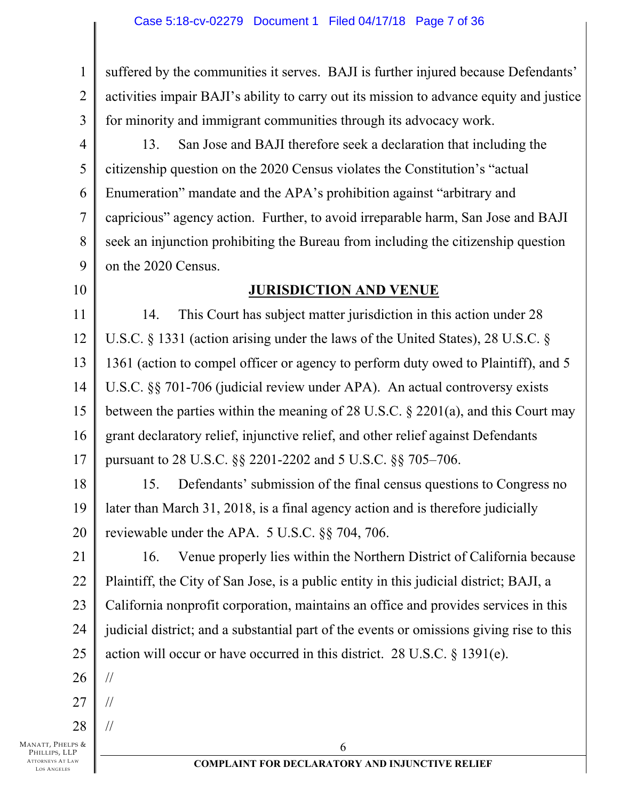1 2 3 suffered by the communities it serves. BAJI is further injured because Defendants' activities impair BAJI's ability to carry out its mission to advance equity and justice for minority and immigrant communities through its advocacy work.

- 4 5 6 7 8 9 13. San Jose and BAJI therefore seek a declaration that including the citizenship question on the 2020 Census violates the Constitution's "actual Enumeration" mandate and the APA's prohibition against "arbitrary and capricious" agency action. Further, to avoid irreparable harm, San Jose and BAJI seek an injunction prohibiting the Bureau from including the citizenship question on the 2020 Census.
- 10

### **JURISDICTION AND VENUE**

11 12 13 14 15 16 17 14. This Court has subject matter jurisdiction in this action under 28 U.S.C. § 1331 (action arising under the laws of the United States), 28 U.S.C. § 1361 (action to compel officer or agency to perform duty owed to Plaintiff), and 5 U.S.C. §§ 701-706 (judicial review under APA). An actual controversy exists between the parties within the meaning of 28 U.S.C. § 2201(a), and this Court may grant declaratory relief, injunctive relief, and other relief against Defendants pursuant to 28 U.S.C. §§ 2201-2202 and 5 U.S.C. §§ 705–706.

18 19 20 15. Defendants' submission of the final census questions to Congress no later than March 31, 2018, is a final agency action and is therefore judicially reviewable under the APA. 5 U.S.C. §§ 704, 706.

21 22 23 24 25 16. Venue properly lies within the Northern District of California because Plaintiff, the City of San Jose, is a public entity in this judicial district; BAJI, a California nonprofit corporation, maintains an office and provides services in this judicial district; and a substantial part of the events or omissions giving rise to this action will occur or have occurred in this district. 28 U.S.C. § 1391(e).

26 //

27 //

28 //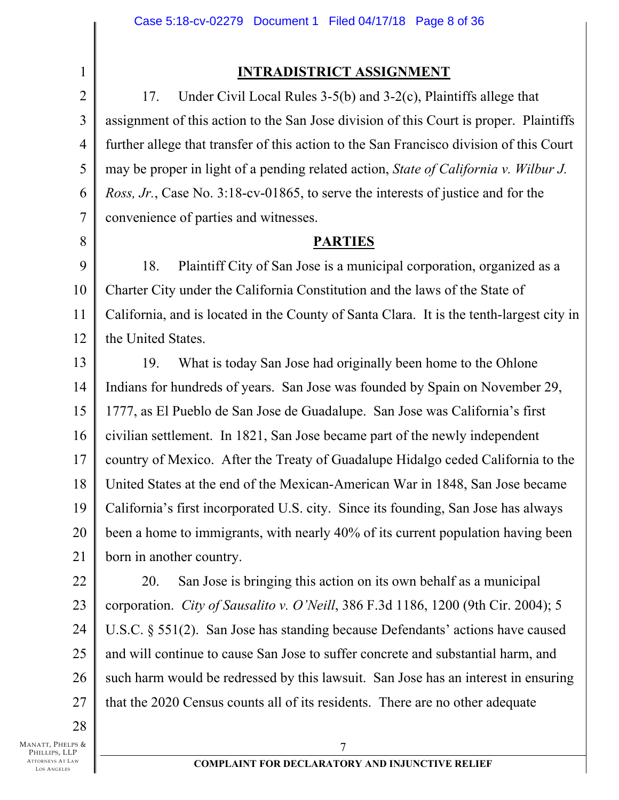### **INTRADISTRICT ASSIGNMENT**

17. Under Civil Local Rules 3-5(b) and 3-2(c), Plaintiffs allege that assignment of this action to the San Jose division of this Court is proper. Plaintiffs further allege that transfer of this action to the San Francisco division of this Court may be proper in light of a pending related action, *State of California v. Wilbur J. Ross, Jr.*, Case No. 3:18-cv-01865, to serve the interests of justice and for the convenience of parties and witnesses.

### **PARTIES**

9 10 11 12 18. Plaintiff City of San Jose is a municipal corporation, organized as a Charter City under the California Constitution and the laws of the State of California, and is located in the County of Santa Clara. It is the tenth-largest city in the United States.

13 14 15 16 17 18 19 20 21 19. What is today San Jose had originally been home to the Ohlone Indians for hundreds of years. San Jose was founded by Spain on November 29, 1777, as El Pueblo de San Jose de Guadalupe. San Jose was California's first civilian settlement. In 1821, San Jose became part of the newly independent country of Mexico. After the Treaty of Guadalupe Hidalgo ceded California to the United States at the end of the Mexican-American War in 1848, San Jose became California's first incorporated U.S. city. Since its founding, San Jose has always been a home to immigrants, with nearly 40% of its current population having been born in another country.

22 23 24 25 26 27 20. San Jose is bringing this action on its own behalf as a municipal corporation. *City of Sausalito v. O'Neill*, 386 F.3d 1186, 1200 (9th Cir. 2004); 5 U.S.C. § 551(2). San Jose has standing because Defendants' actions have caused and will continue to cause San Jose to suffer concrete and substantial harm, and such harm would be redressed by this lawsuit. San Jose has an interest in ensuring that the 2020 Census counts all of its residents. There are no other adequate

MANATT, PHELPS & PHILLIPS, LLP ATTORNEYS AT LAW LOS ANGELES

28

1

2

3

4

5

6

7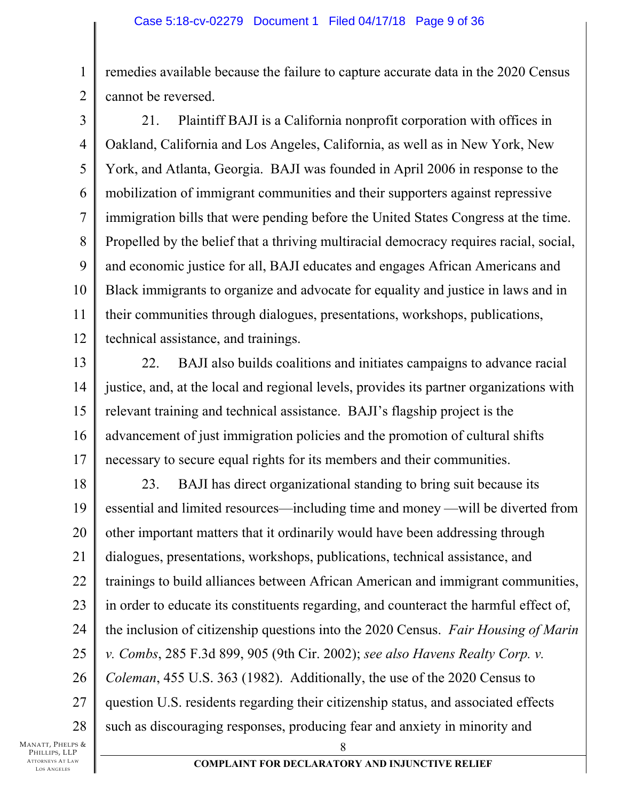1 2 remedies available because the failure to capture accurate data in the 2020 Census cannot be reversed.

3 4 5 6 7 8 9 10 11 12 21. Plaintiff BAJI is a California nonprofit corporation with offices in Oakland, California and Los Angeles, California, as well as in New York, New York, and Atlanta, Georgia. BAJI was founded in April 2006 in response to the mobilization of immigrant communities and their supporters against repressive immigration bills that were pending before the United States Congress at the time. Propelled by the belief that a thriving multiracial democracy requires racial, social, and economic justice for all, BAJI educates and engages African Americans and Black immigrants to organize and advocate for equality and justice in laws and in their communities through dialogues, presentations, workshops, publications, technical assistance, and trainings.

13 14 15 16 17 22. BAJI also builds coalitions and initiates campaigns to advance racial justice, and, at the local and regional levels, provides its partner organizations with relevant training and technical assistance. BAJI's flagship project is the advancement of just immigration policies and the promotion of cultural shifts necessary to secure equal rights for its members and their communities.

18 19 20 21 22 23 24 25 26 27 28 8 23. BAJI has direct organizational standing to bring suit because its essential and limited resources—including time and money —will be diverted from other important matters that it ordinarily would have been addressing through dialogues, presentations, workshops, publications, technical assistance, and trainings to build alliances between African American and immigrant communities, in order to educate its constituents regarding, and counteract the harmful effect of, the inclusion of citizenship questions into the 2020 Census. *Fair Housing of Marin v. Combs*, 285 F.3d 899, 905 (9th Cir. 2002); *see also Havens Realty Corp. v. Coleman*, 455 U.S. 363 (1982). Additionally, the use of the 2020 Census to question U.S. residents regarding their citizenship status, and associated effects such as discouraging responses, producing fear and anxiety in minority and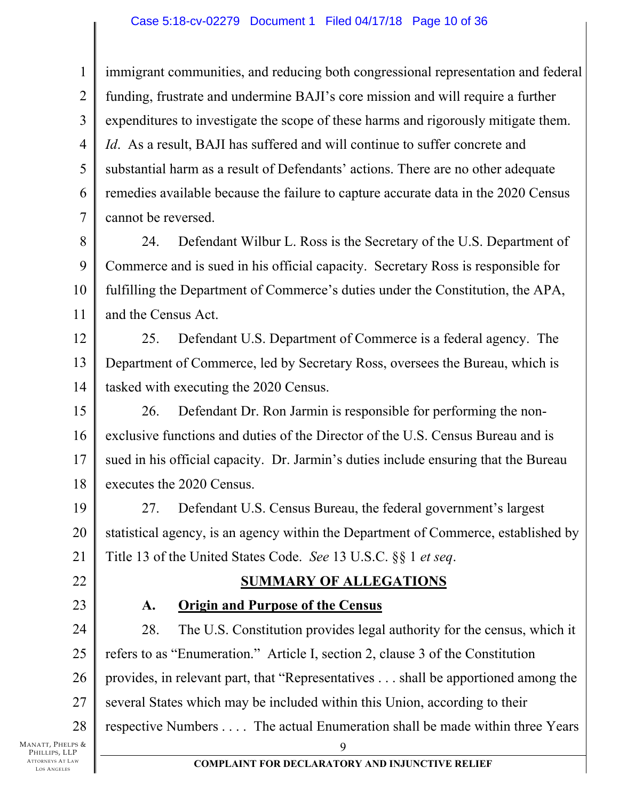immigrant communities, and reducing both congressional representation and federal funding, frustrate and undermine BAJI's core mission and will require a further expenditures to investigate the scope of these harms and rigorously mitigate them. *Id.* As a result, BAJI has suffered and will continue to suffer concrete and substantial harm as a result of Defendants' actions. There are no other adequate remedies available because the failure to capture accurate data in the 2020 Census cannot be reversed.

8 9 10 11 24. Defendant Wilbur L. Ross is the Secretary of the U.S. Department of Commerce and is sued in his official capacity. Secretary Ross is responsible for fulfilling the Department of Commerce's duties under the Constitution, the APA, and the Census Act.

12 13 14 25. Defendant U.S. Department of Commerce is a federal agency. The Department of Commerce, led by Secretary Ross, oversees the Bureau, which is tasked with executing the 2020 Census.

15 16 17 18 26. Defendant Dr. Ron Jarmin is responsible for performing the nonexclusive functions and duties of the Director of the U.S. Census Bureau and is sued in his official capacity. Dr. Jarmin's duties include ensuring that the Bureau executes the 2020 Census.

19 20 21 27. Defendant U.S. Census Bureau, the federal government's largest statistical agency, is an agency within the Department of Commerce, established by Title 13 of the United States Code. *See* 13 U.S.C. §§ 1 *et seq*.

## 22

1

2

3

4

5

6

7

23

### **SUMMARY OF ALLEGATIONS**

 **A. Origin and Purpose of the Census** 

24 25 26 27 28 9 28. The U.S. Constitution provides legal authority for the census, which it refers to as "Enumeration." Article I, section 2, clause 3 of the Constitution provides, in relevant part, that "Representatives . . . shall be apportioned among the several States which may be included within this Union, according to their respective Numbers . . . . The actual Enumeration shall be made within three Years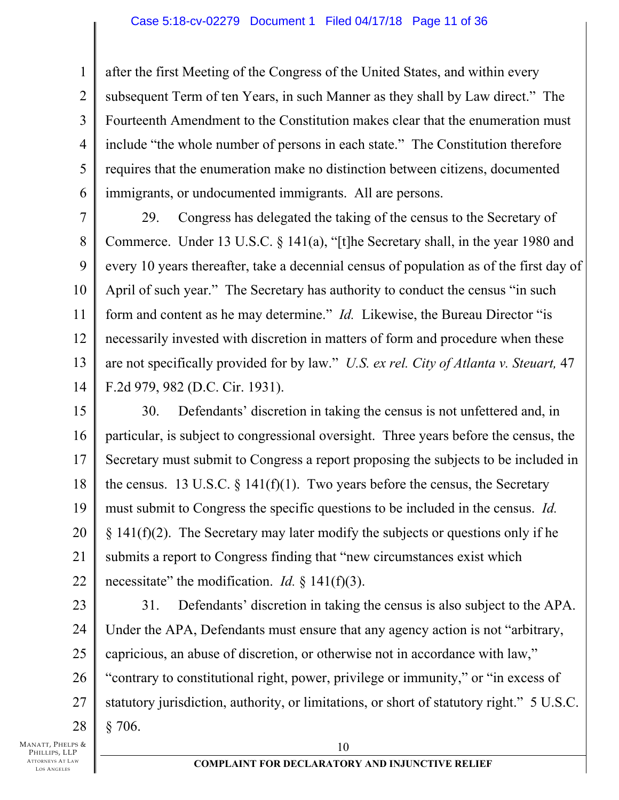3 4 6 after the first Meeting of the Congress of the United States, and within every subsequent Term of ten Years, in such Manner as they shall by Law direct." The Fourteenth Amendment to the Constitution makes clear that the enumeration must include "the whole number of persons in each state." The Constitution therefore requires that the enumeration make no distinction between citizens, documented immigrants, or undocumented immigrants. All are persons.

7 8 9 10 11 12 13 14 29. Congress has delegated the taking of the census to the Secretary of Commerce. Under 13 U.S.C. § 141(a), "[t]he Secretary shall, in the year 1980 and every 10 years thereafter, take a decennial census of population as of the first day of April of such year." The Secretary has authority to conduct the census "in such form and content as he may determine." *Id.* Likewise, the Bureau Director "is necessarily invested with discretion in matters of form and procedure when these are not specifically provided for by law." *U.S. ex rel. City of Atlanta v. Steuart,* 47 F.2d 979, 982 (D.C. Cir. 1931).

15 16 17 18 19 20 21 22 30. Defendants' discretion in taking the census is not unfettered and, in particular, is subject to congressional oversight. Three years before the census, the Secretary must submit to Congress a report proposing the subjects to be included in the census. 13 U.S.C.  $\S$  141(f)(1). Two years before the census, the Secretary must submit to Congress the specific questions to be included in the census. *Id.*  $§$  141(f)(2). The Secretary may later modify the subjects or questions only if he submits a report to Congress finding that "new circumstances exist which necessitate" the modification. *Id.* § 141(f)(3).

23 24 25 26 27 28 31. Defendants' discretion in taking the census is also subject to the APA. Under the APA, Defendants must ensure that any agency action is not "arbitrary, capricious, an abuse of discretion, or otherwise not in accordance with law," "contrary to constitutional right, power, privilege or immunity," or "in excess of statutory jurisdiction, authority, or limitations, or short of statutory right." 5 U.S.C. § 706.

MANATT, PHELPS & PHILLIPS, LLP ATTORNEYS AT LAW LOS ANGELES

1

2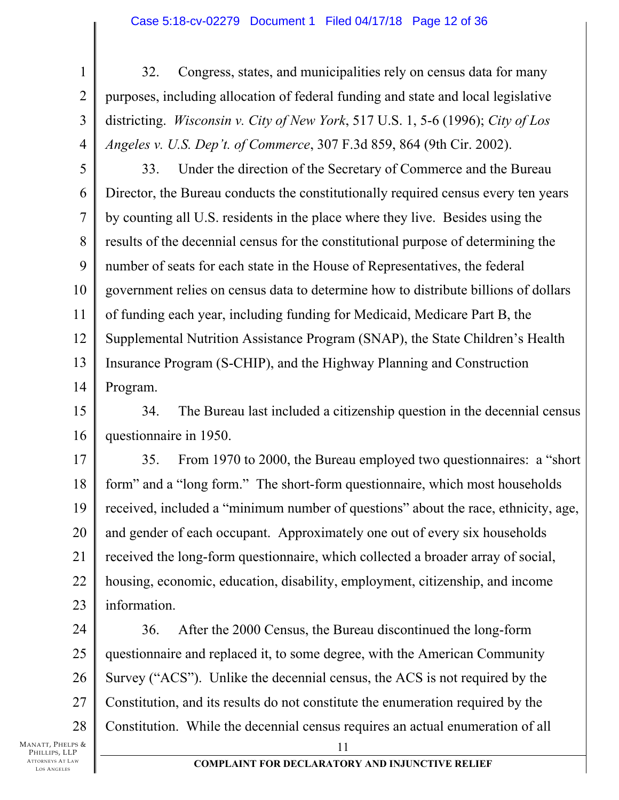#### Case 5:18-cv-02279 Document 1 Filed 04/17/18 Page 12 of 36

32. Congress, states, and municipalities rely on census data for many purposes, including allocation of federal funding and state and local legislative districting. *Wisconsin v. City of New York*, 517 U.S. 1, 5-6 (1996); *City of Los Angeles v. U.S. Dep't. of Commerce*, 307 F.3d 859, 864 (9th Cir. 2002).

5 6 7 8 9 10 11 12 13 14 33. Under the direction of the Secretary of Commerce and the Bureau Director, the Bureau conducts the constitutionally required census every ten years by counting all U.S. residents in the place where they live. Besides using the results of the decennial census for the constitutional purpose of determining the number of seats for each state in the House of Representatives, the federal government relies on census data to determine how to distribute billions of dollars of funding each year, including funding for Medicaid, Medicare Part B, the Supplemental Nutrition Assistance Program (SNAP), the State Children's Health Insurance Program (S-CHIP), and the Highway Planning and Construction Program.

15 16 34. The Bureau last included a citizenship question in the decennial census questionnaire in 1950.

17 18 19 20 21 22 23 35. From 1970 to 2000, the Bureau employed two questionnaires: a "short form" and a "long form." The short-form questionnaire, which most households received, included a "minimum number of questions" about the race, ethnicity, age, and gender of each occupant. Approximately one out of every six households received the long-form questionnaire, which collected a broader array of social, housing, economic, education, disability, employment, citizenship, and income information.

24 25 26 27 28 36. After the 2000 Census, the Bureau discontinued the long-form questionnaire and replaced it, to some degree, with the American Community Survey ("ACS"). Unlike the decennial census, the ACS is not required by the Constitution, and its results do not constitute the enumeration required by the Constitution. While the decennial census requires an actual enumeration of all

MANATT, PHELPS & PHILLIPS, LLP ATTORNEYS AT LAW LOS ANGELES

1

2

3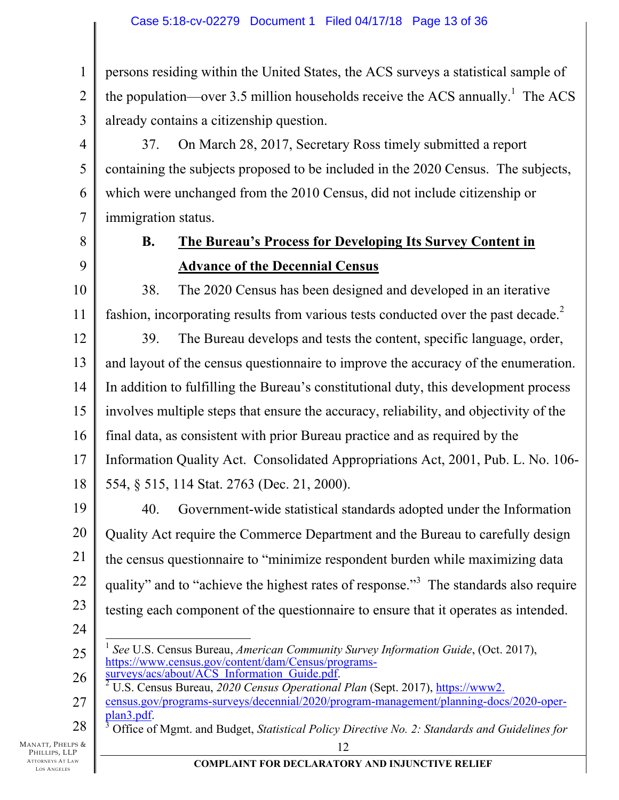1 2 3 persons residing within the United States, the ACS surveys a statistical sample of the population—over 3.5 million households receive the ACS annually.<sup>1</sup> The ACS already contains a citizenship question.

37. On March 28, 2017, Secretary Ross timely submitted a report containing the subjects proposed to be included in the 2020 Census. The subjects, which were unchanged from the 2010 Census, did not include citizenship or immigration status.

8

9

4

5

6

7

## **B. The Bureau's Process for Developing Its Survey Content in Advance of the Decennial Census**

10 11 38. The 2020 Census has been designed and developed in an iterative fashion, incorporating results from various tests conducted over the past decade. $2$ 

12 13 14 15 16 17 18 39. The Bureau develops and tests the content, specific language, order, and layout of the census questionnaire to improve the accuracy of the enumeration. In addition to fulfilling the Bureau's constitutional duty, this development process involves multiple steps that ensure the accuracy, reliability, and objectivity of the final data, as consistent with prior Bureau practice and as required by the Information Quality Act. Consolidated Appropriations Act, 2001, Pub. L. No. 106- 554, § 515, 114 Stat. 2763 (Dec. 21, 2000).

19 20 21 22 23 40. Government-wide statistical standards adopted under the Information Quality Act require the Commerce Department and the Bureau to carefully design the census questionnaire to "minimize respondent burden while maximizing data quality" and to "achieve the highest rates of response."<sup>3</sup> The standards also require testing each component of the questionnaire to ensure that it operates as intended.

24

28 Office of Mgmt. and Budget, *Statistical Policy Directive No. 2: Standards and Guidelines for* 

<sup>25</sup>   $\overline{a}$ <sup>1</sup> *See* U.S. Census Bureau, *American Community Survey Information Guide*, (Oct. 2017), https://www.census.gov/content/dam/Census/programs-

<sup>26</sup>  27 surveys/acs/about/ACS\_Information\_Guide.pdf. 2 U.S. Census Bureau, *2020 Census Operational Plan* (Sept. 2017), https://www2. census.gov/programs-surveys/decennial/2020/program-management/planning-docs/2020-operplan3.pdf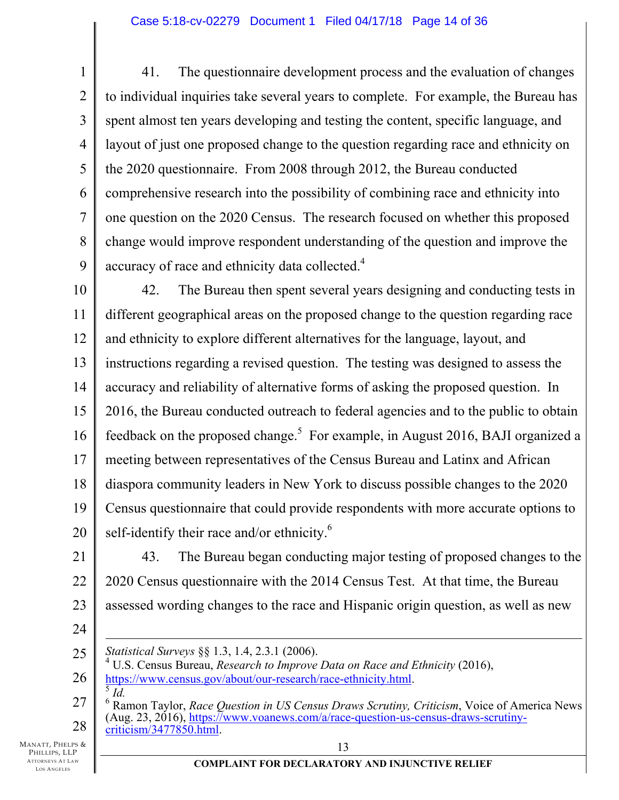1 2 3 4 5 6 7 8 9 41. The questionnaire development process and the evaluation of changes to individual inquiries take several years to complete. For example, the Bureau has spent almost ten years developing and testing the content, specific language, and layout of just one proposed change to the question regarding race and ethnicity on the 2020 questionnaire. From 2008 through 2012, the Bureau conducted comprehensive research into the possibility of combining race and ethnicity into one question on the 2020 Census. The research focused on whether this proposed change would improve respondent understanding of the question and improve the accuracy of race and ethnicity data collected.<sup>4</sup>

10 11 12 13 14 15 16 17 18 19 20 42. The Bureau then spent several years designing and conducting tests in different geographical areas on the proposed change to the question regarding race and ethnicity to explore different alternatives for the language, layout, and instructions regarding a revised question. The testing was designed to assess the accuracy and reliability of alternative forms of asking the proposed question. In 2016, the Bureau conducted outreach to federal agencies and to the public to obtain feedback on the proposed change.<sup>5</sup> For example, in August 2016, BAJI organized a meeting between representatives of the Census Bureau and Latinx and African diaspora community leaders in New York to discuss possible changes to the 2020 Census questionnaire that could provide respondents with more accurate options to self-identify their race and/or ethnicity.<sup>6</sup>

21 22 23 43. The Bureau began conducting major testing of proposed changes to the 2020 Census questionnaire with the 2014 Census Test. At that time, the Bureau assessed wording changes to the race and Hispanic origin question, as well as new

- 25  $\overline{a}$ *Statistical Surveys* §§ 1.3, 1.4, 2.3.1 (2006).
- 26 4 U.S. Census Bureau, *Research to Improve Data on Race and Ethnicity* (2016), https://www.census.gov/about/our-research/race-ethnicity.html. 5 *Id.*
- 27

24

28 6 Ramon Taylor, *Race Question in US Census Draws Scrutiny, Criticism*, Voice of America News (Aug. 23, 2016), https://www.voanews.com/a/race-question-us-census-draws-scrutinycriticism/3477850.html.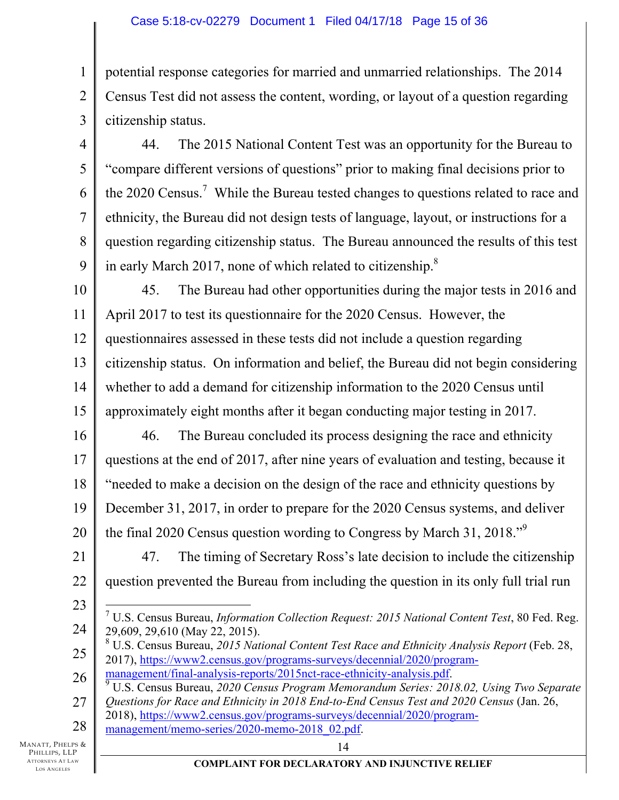#### Case 5:18-cv-02279 Document 1 Filed 04/17/18 Page 15 of 36

3 potential response categories for married and unmarried relationships. The 2014 Census Test did not assess the content, wording, or layout of a question regarding citizenship status.

4 5 6 7 8 9 44. The 2015 National Content Test was an opportunity for the Bureau to "compare different versions of questions" prior to making final decisions prior to the  $2020$  Census.<sup>7</sup> While the Bureau tested changes to questions related to race and ethnicity, the Bureau did not design tests of language, layout, or instructions for a question regarding citizenship status. The Bureau announced the results of this test in early March 2017, none of which related to citizenship.<sup>8</sup>

10 11 12 13 14 15 45. The Bureau had other opportunities during the major tests in 2016 and April 2017 to test its questionnaire for the 2020 Census. However, the questionnaires assessed in these tests did not include a question regarding citizenship status. On information and belief, the Bureau did not begin considering whether to add a demand for citizenship information to the 2020 Census until approximately eight months after it began conducting major testing in 2017.

16 17 18 19 20 46. The Bureau concluded its process designing the race and ethnicity questions at the end of 2017, after nine years of evaluation and testing, because it "needed to make a decision on the design of the race and ethnicity questions by December 31, 2017, in order to prepare for the 2020 Census systems, and deliver the final 2020 Census question wording to Congress by March 31, 2018."9

21 22 47. The timing of Secretary Ross's late decision to include the citizenship question prevented the Bureau from including the question in its only full trial run

- 23 24  $\overline{a}$ 7 U.S. Census Bureau, *Information Collection Request: 2015 National Content Test*, 80 Fed. Reg. 29,609, 29,610 (May 22, 2015).
- 25 8 U.S. Census Bureau, *2015 National Content Test Race and Ethnicity Analysis Report* (Feb. 28, 2017), https://www2.census.gov/programs-surveys/decennial/2020/program-
- 26 management/final-analysis-reports/2015nct-race-ethnicity-analysis.pdf. 9
- 27 U.S. Census Bureau, *2020 Census Program Memorandum Series: 2018.02, Using Two Separate Questions for Race and Ethnicity in 2018 End-to-End Census Test and 2020 Census* (Jan. 26, 2018), https://www2.census.gov/programs-surveys/decennial/2020/program-
- 28 management/memo-series/2020-memo-2018\_02.pdf.

1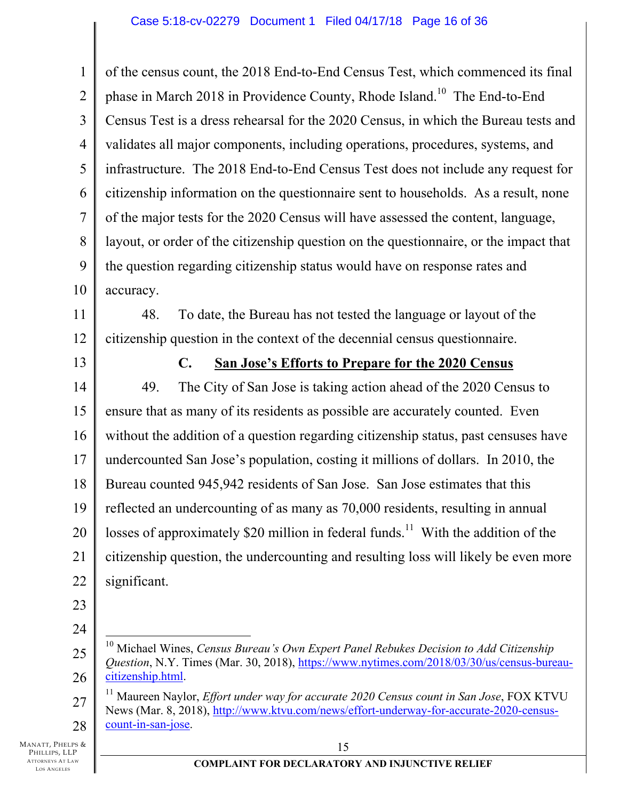1 2 3 4 5 6 7 8 9 10 of the census count, the 2018 End-to-End Census Test, which commenced its final phase in March 2018 in Providence County, Rhode Island.<sup>10</sup> The End-to-End Census Test is a dress rehearsal for the 2020 Census, in which the Bureau tests and validates all major components, including operations, procedures, systems, and infrastructure. The 2018 End-to-End Census Test does not include any request for citizenship information on the questionnaire sent to households. As a result, none of the major tests for the 2020 Census will have assessed the content, language, layout, or order of the citizenship question on the questionnaire, or the impact that the question regarding citizenship status would have on response rates and accuracy.

11 12 48. To date, the Bureau has not tested the language or layout of the citizenship question in the context of the decennial census questionnaire.

13

### **C. San Jose's Efforts to Prepare for the 2020 Census**

14 15 16 17 18 19 20 21 22 49. The City of San Jose is taking action ahead of the 2020 Census to ensure that as many of its residents as possible are accurately counted. Even without the addition of a question regarding citizenship status, past censuses have undercounted San Jose's population, costing it millions of dollars. In 2010, the Bureau counted 945,942 residents of San Jose. San Jose estimates that this reflected an undercounting of as many as 70,000 residents, resulting in annual losses of approximately \$20 million in federal funds.<sup>11</sup> With the addition of the citizenship question, the undercounting and resulting loss will likely be even more significant.

- 23
- 24

 $\overline{a}$ 

25

26

<sup>10</sup> Michael Wines, *Census Bureau's Own Expert Panel Rebukes Decision to Add Citizenship Question*, N.Y. Times (Mar. 30, 2018), https://www.nytimes.com/2018/03/30/us/census-bureaucitizenship.html.

<sup>27</sup>  28 <sup>11</sup> Maureen Navlor, *Effort under way for accurate 2020 Census count in San Jose*, FOX KTVU News (Mar. 8, 2018), http://www.ktvu.com/news/effort-underway-for-accurate-2020-censuscount-in-san-jose.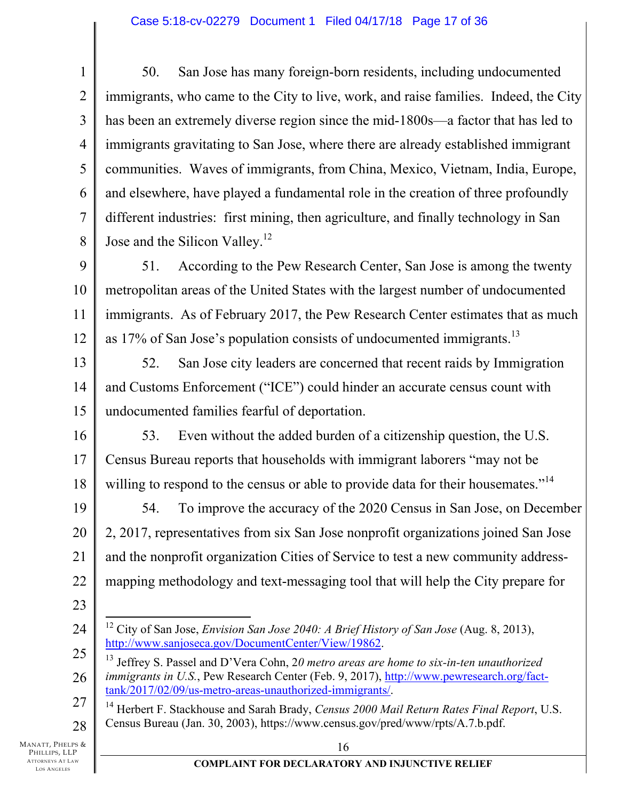1 2 3 4 5 6 7 8 50. San Jose has many foreign-born residents, including undocumented immigrants, who came to the City to live, work, and raise families. Indeed, the City has been an extremely diverse region since the mid-1800s—a factor that has led to immigrants gravitating to San Jose, where there are already established immigrant communities. Waves of immigrants, from China, Mexico, Vietnam, India, Europe, and elsewhere, have played a fundamental role in the creation of three profoundly different industries: first mining, then agriculture, and finally technology in San Jose and the Silicon Valley.<sup>12</sup>

9 10 11 12 51. According to the Pew Research Center, San Jose is among the twenty metropolitan areas of the United States with the largest number of undocumented immigrants. As of February 2017, the Pew Research Center estimates that as much as 17% of San Jose's population consists of undocumented immigrants.<sup>13</sup>

13 14 15 52. San Jose city leaders are concerned that recent raids by Immigration and Customs Enforcement ("ICE") could hinder an accurate census count with undocumented families fearful of deportation.

16 17 18 53. Even without the added burden of a citizenship question, the U.S. Census Bureau reports that households with immigrant laborers "may not be willing to respond to the census or able to provide data for their housemates."<sup>14</sup>

19 20 21 22 54. To improve the accuracy of the 2020 Census in San Jose, on December 2, 2017, representatives from six San Jose nonprofit organizations joined San Jose and the nonprofit organization Cities of Service to test a new community addressmapping methodology and text-messaging tool that will help the City prepare for

23

24

25 <sup>13</sup> Jeffrey S. Passel and D'Vera Cohn, 20 metro areas are home to six-in-ten unauthorized *immigrants in U.S.*, Pew Research Center (Feb. 9, 2017), http://www.pewresearch.org/fact-

26 tank/2017/02/09/us-metro-areas-unauthorized-immigrants/.

27 28 14 Herbert F. Stackhouse and Sarah Brady, *Census 2000 Mail Return Rates Final Report*, U.S. Census Bureau (Jan. 30, 2003), https://www.census.gov/pred/www/rpts/A.7.b.pdf.

 $\overline{a}$ 12 City of San Jose, *Envision San Jose 2040: A Brief History of San Jose* (Aug. 8, 2013), http://www.sanjoseca.gov/DocumentCenter/View/19862.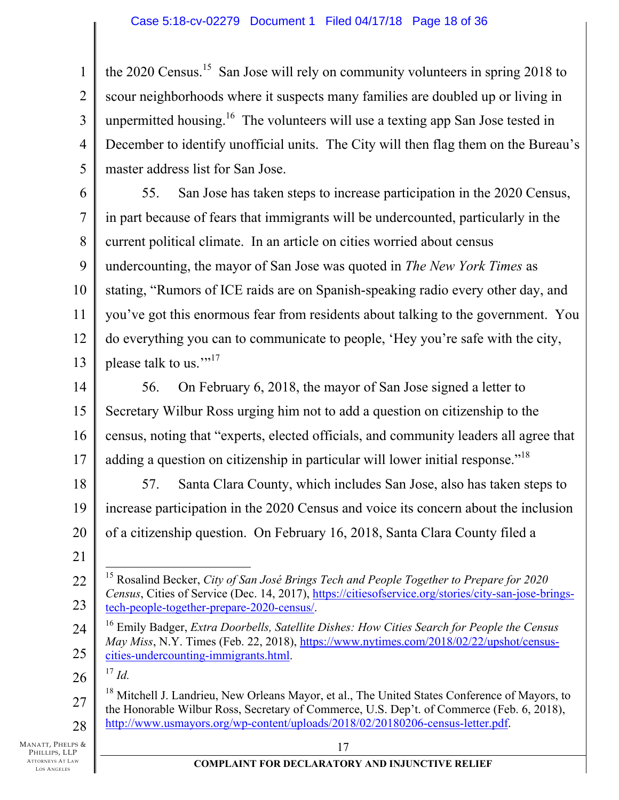1 2 3 4 5 the 2020 Census.<sup>15</sup> San Jose will rely on community volunteers in spring 2018 to scour neighborhoods where it suspects many families are doubled up or living in unpermitted housing.<sup>16</sup> The volunteers will use a texting app San Jose tested in December to identify unofficial units. The City will then flag them on the Bureau's master address list for San Jose.

6 7 8 9 10 11 12 13 55. San Jose has taken steps to increase participation in the 2020 Census, in part because of fears that immigrants will be undercounted, particularly in the current political climate. In an article on cities worried about census undercounting, the mayor of San Jose was quoted in *The New York Times* as stating, "Rumors of ICE raids are on Spanish-speaking radio every other day, and you've got this enormous fear from residents about talking to the government. You do everything you can to communicate to people, 'Hey you're safe with the city, please talk to us." $17$ 

14 15 16 17 56. On February 6, 2018, the mayor of San Jose signed a letter to Secretary Wilbur Ross urging him not to add a question on citizenship to the census, noting that "experts, elected officials, and community leaders all agree that adding a question on citizenship in particular will lower initial response."<sup>18</sup>

18 19 20 57. Santa Clara County, which includes San Jose, also has taken steps to increase participation in the 2020 Census and voice its concern about the inclusion of a citizenship question. On February 16, 2018, Santa Clara County filed a

21

26  $^{17}$  *Id.* 

<sup>22</sup>  23  $\overline{a}$ 15 Rosalind Becker, *City of San José Brings Tech and People Together to Prepare for 2020 Census*, Cities of Service (Dec. 14, 2017), https://citiesofservice.org/stories/city-san-jose-bringstech-people-together-prepare-2020-census/.

<sup>24</sup>  25 16 Emily Badger, *Extra Doorbells, Satellite Dishes: How Cities Search for People the Census May Miss*, N.Y. Times (Feb. 22, 2018), https://www.nytimes.com/2018/02/22/upshot/censuscities-undercounting-immigrants.html.

<sup>27</sup>  28 <sup>18</sup> Mitchell J. Landrieu, New Orleans Mayor, et al., The United States Conference of Mayors, to the Honorable Wilbur Ross, Secretary of Commerce, U.S. Dep't. of Commerce (Feb. 6, 2018), http://www.usmayors.org/wp-content/uploads/2018/02/20180206-census-letter.pdf.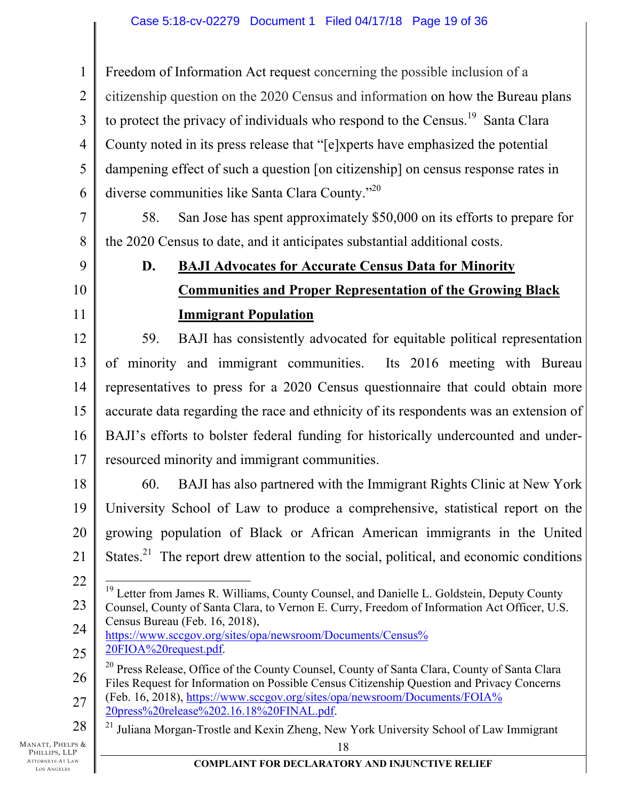1 2 3 4 5 6 Freedom of Information Act request concerning the possible inclusion of a citizenship question on the 2020 Census and information on how the Bureau plans to protect the privacy of individuals who respond to the Census.<sup>19</sup> Santa Clara County noted in its press release that "[e]xperts have emphasized the potential dampening effect of such a question [on citizenship] on census response rates in diverse communities like Santa Clara County."20

7 8 58. San Jose has spent approximately \$50,000 on its efforts to prepare for the 2020 Census to date, and it anticipates substantial additional costs.

9 10

11

### **D. BAJI Advocates for Accurate Census Data for Minority**

# **Communities and Proper Representation of the Growing Black Immigrant Population**

12 13 14 15 16 17 59. BAJI has consistently advocated for equitable political representation of minority and immigrant communities. Its 2016 meeting with Bureau representatives to press for a 2020 Census questionnaire that could obtain more accurate data regarding the race and ethnicity of its respondents was an extension of BAJI's efforts to bolster federal funding for historically undercounted and underresourced minority and immigrant communities.

18 19 20 21 60. BAJI has also partnered with the Immigrant Rights Clinic at New York University School of Law to produce a comprehensive, statistical report on the growing population of Black or African American immigrants in the United States.<sup>21</sup> The report drew attention to the social, political, and economic conditions

 $\overline{a}$ 

23 24 <sup>19</sup> Letter from James R. Williams, County Counsel, and Danielle L. Goldstein, Deputy County Counsel, County of Santa Clara, to Vernon E. Curry, Freedom of Information Act Officer, U.S. Census Bureau (Feb. 16, 2018),

25 https://www.sccgov.org/sites/opa/newsroom/Documents/Census% 20FIOA%20request.pdf.

<sup>22</sup> 

<sup>26</sup>  27 <sup>20</sup> Press Release, Office of the County Counsel, County of Santa Clara, County of Santa Clara Files Request for Information on Possible Census Citizenship Question and Privacy Concerns (Feb. 16, 2018), https://www.sccgov.org/sites/opa/newsroom/Documents/FOIA% 20press%20release%202.16.18%20FINAL.pdf.

<sup>28</sup>   $^{21}$  Juliana Morgan-Trostle and Kexin Zheng, New York University School of Law Immigrant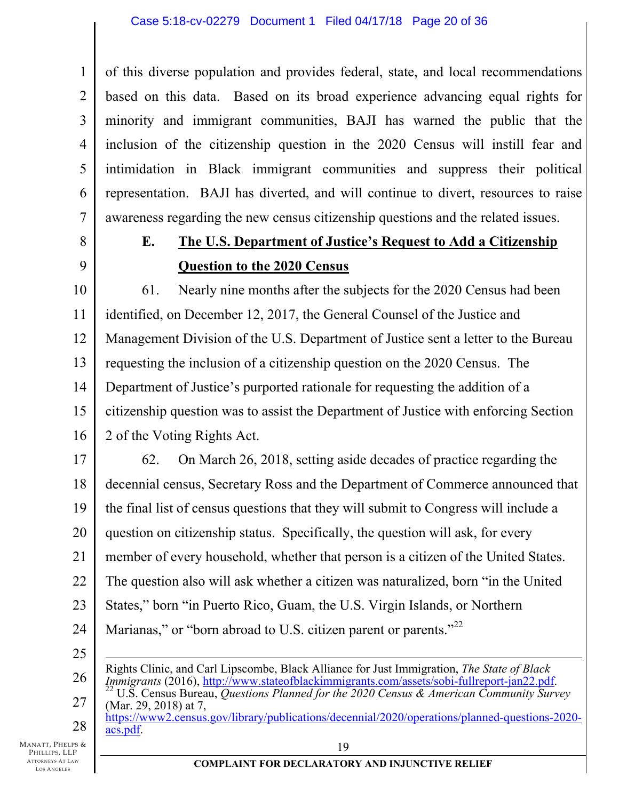1 2 3 4 5 6 7 of this diverse population and provides federal, state, and local recommendations based on this data. Based on its broad experience advancing equal rights for minority and immigrant communities, BAJI has warned the public that the inclusion of the citizenship question in the 2020 Census will instill fear and intimidation in Black immigrant communities and suppress their political representation. BAJI has diverted, and will continue to divert, resources to raise awareness regarding the new census citizenship questions and the related issues.

8

9

## **E. The U.S. Department of Justice's Request to Add a Citizenship Question to the 2020 Census**

10 11 12 13 14 15 16 61. Nearly nine months after the subjects for the 2020 Census had been identified, on December 12, 2017, the General Counsel of the Justice and Management Division of the U.S. Department of Justice sent a letter to the Bureau requesting the inclusion of a citizenship question on the 2020 Census. The Department of Justice's purported rationale for requesting the addition of a citizenship question was to assist the Department of Justice with enforcing Section 2 of the Voting Rights Act.

17 18 19 20 21 22 23 24 62. On March 26, 2018, setting aside decades of practice regarding the decennial census, Secretary Ross and the Department of Commerce announced that the final list of census questions that they will submit to Congress will include a question on citizenship status. Specifically, the question will ask, for every member of every household, whether that person is a citizen of the United States. The question also will ask whether a citizen was naturalized, born "in the United States," born "in Puerto Rico, Guam, the U.S. Virgin Islands, or Northern Marianas," or "born abroad to U.S. citizen parent or parents."<sup>22</sup>

25

26 27 28  $\overline{a}$ Rights Clinic, and Carl Lipscombe, Black Alliance for Just Immigration, *The State of Black Immigrants* (2016), http://www.stateofblackimmigrants.com/assets/sobi-fullreport-jan22.pdf. <sup>22</sup> U.S. Census Bureau, *Questions Planned for the 2020 Census & American Community Survey* (Mar. 29, 2018) at 7, https://www2.census.gov/library/publications/decennial/2020/operations/planned-questions-2020 acs.pdf.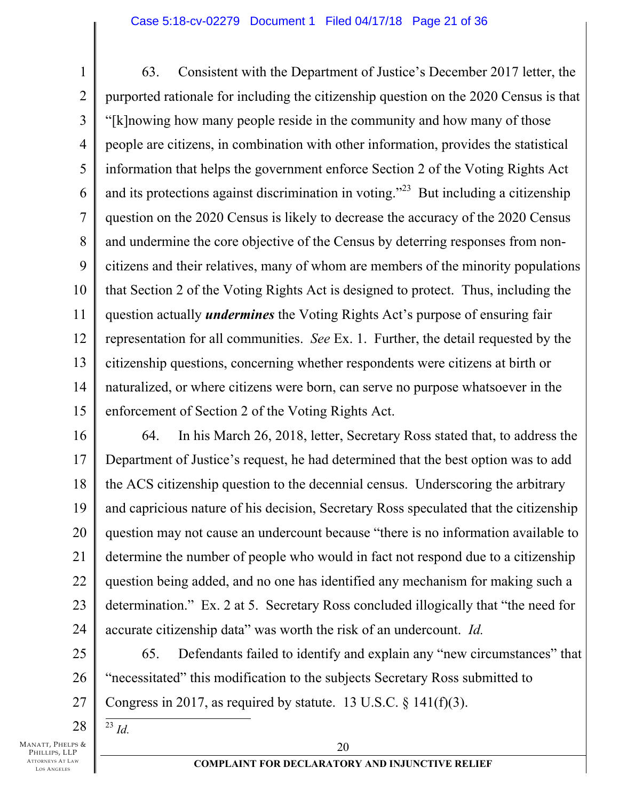1 2 3 4 5 6 7 8 9 10 11 12 13 14 15 63. Consistent with the Department of Justice's December 2017 letter, the purported rationale for including the citizenship question on the 2020 Census is that "[k]nowing how many people reside in the community and how many of those people are citizens, in combination with other information, provides the statistical information that helps the government enforce Section 2 of the Voting Rights Act and its protections against discrimination in voting."<sup>23</sup> But including a citizenship question on the 2020 Census is likely to decrease the accuracy of the 2020 Census and undermine the core objective of the Census by deterring responses from noncitizens and their relatives, many of whom are members of the minority populations that Section 2 of the Voting Rights Act is designed to protect. Thus, including the question actually *undermines* the Voting Rights Act's purpose of ensuring fair representation for all communities. *See* Ex. 1. Further, the detail requested by the citizenship questions, concerning whether respondents were citizens at birth or naturalized, or where citizens were born, can serve no purpose whatsoever in the enforcement of Section 2 of the Voting Rights Act.

16

17 18 19 20 21 22 23 24 64. In his March 26, 2018, letter, Secretary Ross stated that, to address the Department of Justice's request, he had determined that the best option was to add the ACS citizenship question to the decennial census. Underscoring the arbitrary and capricious nature of his decision, Secretary Ross speculated that the citizenship question may not cause an undercount because "there is no information available to determine the number of people who would in fact not respond due to a citizenship question being added, and no one has identified any mechanism for making such a determination." Ex. 2 at 5. Secretary Ross concluded illogically that "the need for accurate citizenship data" was worth the risk of an undercount. *Id.*

25 26 27 65. Defendants failed to identify and explain any "new circumstances" that "necessitated" this modification to the subjects Secretary Ross submitted to Congress in 2017, as required by statute. 13 U.S.C.  $\S$  141(f)(3).

28  $\overline{\phantom{a}}$ <sup>23</sup> *Id.*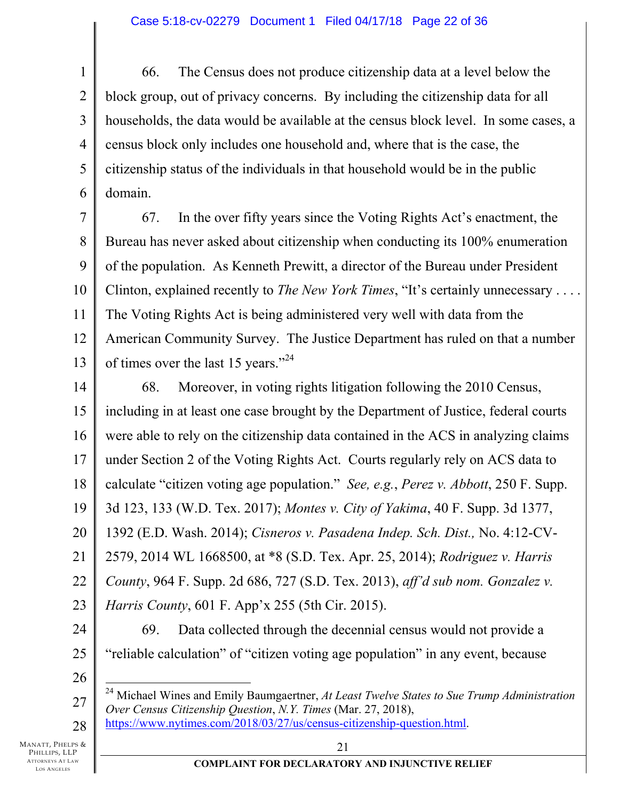1 2 3 4 5 6 66. The Census does not produce citizenship data at a level below the block group, out of privacy concerns. By including the citizenship data for all households, the data would be available at the census block level. In some cases, a census block only includes one household and, where that is the case, the citizenship status of the individuals in that household would be in the public domain.

7 8 9 10 11 12 13 67. In the over fifty years since the Voting Rights Act's enactment, the Bureau has never asked about citizenship when conducting its 100% enumeration of the population. As Kenneth Prewitt, a director of the Bureau under President Clinton, explained recently to *The New York Times*, "It's certainly unnecessary . . . . The Voting Rights Act is being administered very well with data from the American Community Survey. The Justice Department has ruled on that a number of times over the last 15 years."24

14 15 16 17 18 19 20 21 22 23 68. Moreover, in voting rights litigation following the 2010 Census, including in at least one case brought by the Department of Justice, federal courts were able to rely on the citizenship data contained in the ACS in analyzing claims under Section 2 of the Voting Rights Act. Courts regularly rely on ACS data to calculate "citizen voting age population." *See, e.g.*, *Perez v. Abbott*, 250 F. Supp. 3d 123, 133 (W.D. Tex. 2017); *Montes v. City of Yakima*, 40 F. Supp. 3d 1377, 1392 (E.D. Wash. 2014); *Cisneros v. Pasadena Indep. Sch. Dist.,* No. 4:12-CV-2579, 2014 WL 1668500, at \*8 (S.D. Tex. Apr. 25, 2014); *Rodriguez v. Harris County*, 964 F. Supp. 2d 686, 727 (S.D. Tex. 2013), *aff'd sub nom. Gonzalez v. Harris County*, 601 F. App'x 255 (5th Cir. 2015).

24 25

69. Data collected through the decennial census would not provide a "reliable calculation" of "citizen voting age population" in any event, because

<sup>27</sup>   $\overline{a}$ 24 Michael Wines and Emily Baumgaertner, *At Least Twelve States to Sue Trump Administration Over Census Citizenship Question*, *N.Y. Times* (Mar. 27, 2018),

<sup>28</sup>  https://www.nytimes.com/2018/03/27/us/census-citizenship-question.html.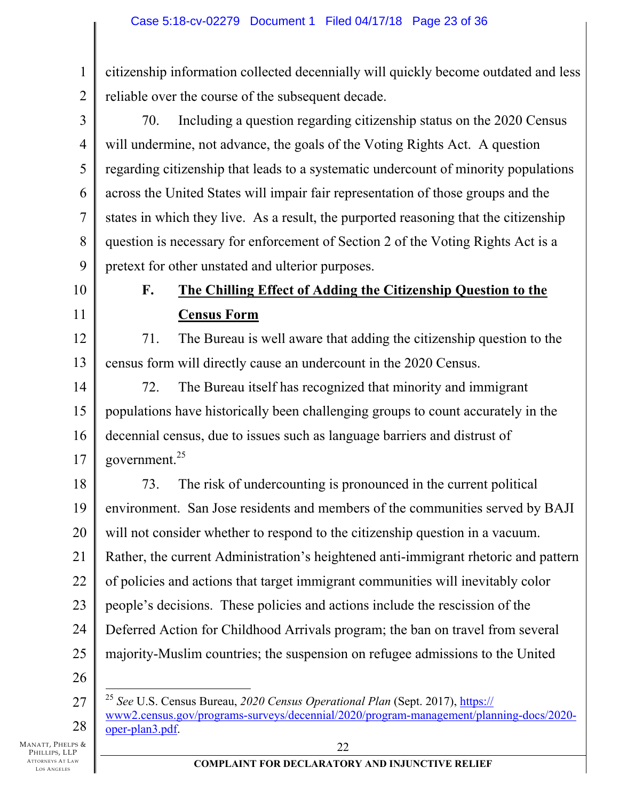citizenship information collected decennially will quickly become outdated and less reliable over the course of the subsequent decade.

3 4 5 6 7 8 9 70. Including a question regarding citizenship status on the 2020 Census will undermine, not advance, the goals of the Voting Rights Act. A question regarding citizenship that leads to a systematic undercount of minority populations across the United States will impair fair representation of those groups and the states in which they live. As a result, the purported reasoning that the citizenship question is necessary for enforcement of Section 2 of the Voting Rights Act is a pretext for other unstated and ulterior purposes.

10 11

1

2

## **F. The Chilling Effect of Adding the Citizenship Question to the Census Form**

12 13 71. The Bureau is well aware that adding the citizenship question to the census form will directly cause an undercount in the 2020 Census.

14 15 16 17 72. The Bureau itself has recognized that minority and immigrant populations have historically been challenging groups to count accurately in the decennial census, due to issues such as language barriers and distrust of government.25

18 19 20 21 22 23 24 25 73. The risk of undercounting is pronounced in the current political environment. San Jose residents and members of the communities served by BAJI will not consider whether to respond to the citizenship question in a vacuum. Rather, the current Administration's heightened anti-immigrant rhetoric and pattern of policies and actions that target immigrant communities will inevitably color people's decisions. These policies and actions include the rescission of the Deferred Action for Childhood Arrivals program; the ban on travel from several majority-Muslim countries; the suspension on refugee admissions to the United

26

 $\overline{a}$ 

<sup>27</sup>  <sup>25</sup> *See* U.S. Census Bureau, *2020 Census Operational Plan* (Sept. 2017), https:// www2.census.gov/programs-surveys/decennial/2020/program-management/planning-docs/2020 oper-plan3.pdf.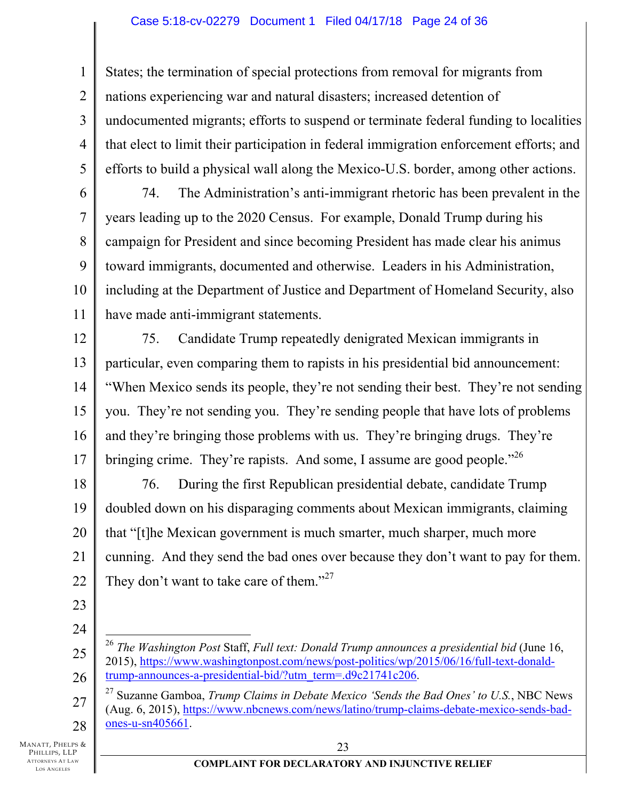States; the termination of special protections from removal for migrants from nations experiencing war and natural disasters; increased detention of undocumented migrants; efforts to suspend or terminate federal funding to localities that elect to limit their participation in federal immigration enforcement efforts; and efforts to build a physical wall along the Mexico-U.S. border, among other actions.

6 7 8 9 10 11 74. The Administration's anti-immigrant rhetoric has been prevalent in the years leading up to the 2020 Census. For example, Donald Trump during his campaign for President and since becoming President has made clear his animus toward immigrants, documented and otherwise. Leaders in his Administration, including at the Department of Justice and Department of Homeland Security, also have made anti-immigrant statements.

12 13 14 15 16 17 75. Candidate Trump repeatedly denigrated Mexican immigrants in particular, even comparing them to rapists in his presidential bid announcement: "When Mexico sends its people, they're not sending their best. They're not sending you. They're not sending you. They're sending people that have lots of problems and they're bringing those problems with us. They're bringing drugs. They're bringing crime. They're rapists. And some, I assume are good people."<sup>26</sup>

18 19 20 21 22 76. During the first Republican presidential debate, candidate Trump doubled down on his disparaging comments about Mexican immigrants, claiming that "[t]he Mexican government is much smarter, much sharper, much more cunning. And they send the bad ones over because they don't want to pay for them. They don't want to take care of them."<sup>27</sup>

23

1

2

3

4

5

24

 $\overline{a}$ 

25

26

<sup>26</sup> *The Washington Post* Staff, *Full text: Donald Trump announces a presidential bid* (June 16, 2015), https://www.washingtonpost.com/news/post-politics/wp/2015/06/16/full-text-donaldtrump-announces-a-presidential-bid/?utm\_term=.d9c21741c206.

<sup>27</sup>  28 27 Suzanne Gamboa, *Trump Claims in Debate Mexico 'Sends the Bad Ones' to U.S.*, NBC News (Aug. 6, 2015), https://www.nbcnews.com/news/latino/trump-claims-debate-mexico-sends-badones-u-sn405661.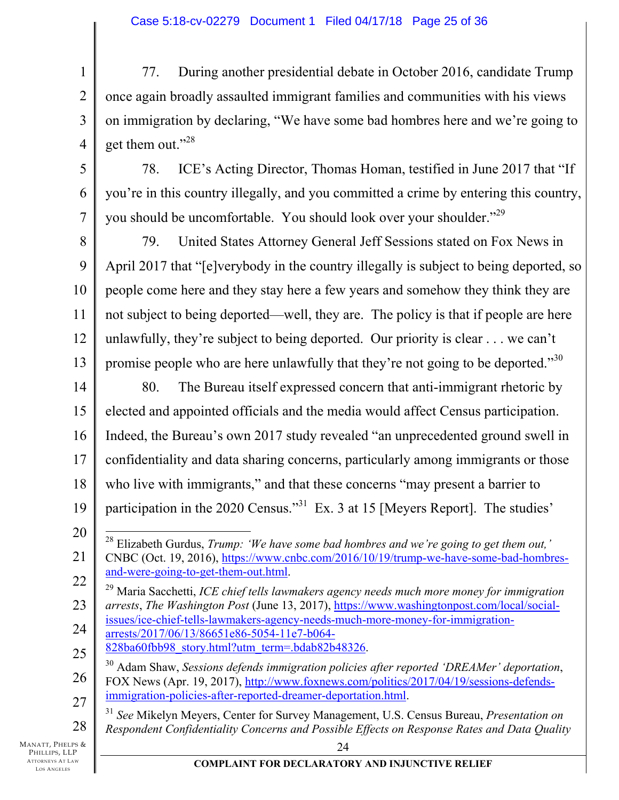1 2 3 4 77. During another presidential debate in October 2016, candidate Trump once again broadly assaulted immigrant families and communities with his views on immigration by declaring, "We have some bad hombres here and we're going to get them out."<sup>28</sup>

78. ICE's Acting Director, Thomas Homan, testified in June 2017 that "If you're in this country illegally, and you committed a crime by entering this country, you should be uncomfortable. You should look over your shoulder."<sup>29</sup>

8 9 10 11 12 13 79. United States Attorney General Jeff Sessions stated on Fox News in April 2017 that "[e]verybody in the country illegally is subject to being deported, so people come here and they stay here a few years and somehow they think they are not subject to being deported—well, they are. The policy is that if people are here unlawfully, they're subject to being deported. Our priority is clear . . . we can't promise people who are here unlawfully that they're not going to be deported."<sup>30</sup>

14 15 16 17 18 19 80. The Bureau itself expressed concern that anti-immigrant rhetoric by elected and appointed officials and the media would affect Census participation. Indeed, the Bureau's own 2017 study revealed "an unprecedented ground swell in confidentiality and data sharing concerns, particularly among immigrants or those who live with immigrants," and that these concerns "may present a barrier to participation in the 2020 Census."<sup>31</sup> Ex. 3 at 15 [Meyers Report]. The studies'

22 23 24 29 Maria Sacchetti, *ICE chief tells lawmakers agency needs much more money for immigration arrests*, *The Washington Post* (June 13, 2017), https://www.washingtonpost.com/local/socialissues/ice-chief-tells-lawmakers-agency-needs-much-more-money-for-immigrationarrests/2017/06/13/86651e86-5054-11e7-b064- 828ba60fbb98\_story.html?utm\_term=.bdab82b48326.

- 25 26 27 30 Adam Shaw, *Sessions defends immigration policies after reported 'DREAMer' deportation*, FOX News (Apr. 19, 2017), http://www.foxnews.com/politics/2017/04/19/sessions-defendsimmigration-policies-after-reported-dreamer-deportation.html.
- 28 <sup>31</sup> *See* Mikelyn Meyers, Center for Survey Management, U.S. Census Bureau, *Presentation on Respondent Confidentiality Concerns and Possible Effects on Response Rates and Data Quality*

MANATT, PHELPS & PHILLIPS, LLP ATTORNEYS AT LAW LOS ANGELES

5

6

<sup>20</sup>  21  $\overline{a}$ 28 Elizabeth Gurdus, *Trump: 'We have some bad hombres and we're going to get them out,'* CNBC (Oct. 19, 2016), https://www.cnbc.com/2016/10/19/trump-we-have-some-bad-hombresand-were-going-to-get-them-out.html.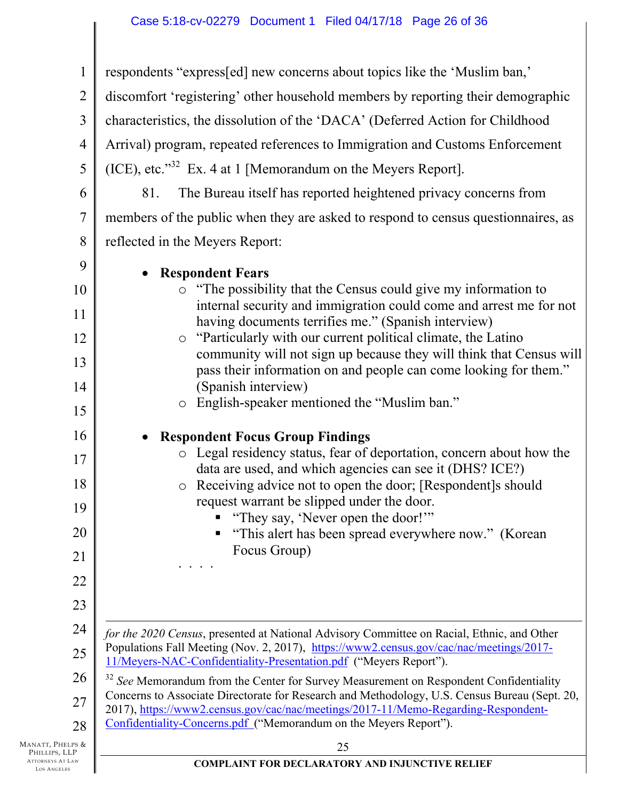#### Case 5:18-cv-02279 Document 1 Filed 04/17/18 Page 26 of 36

| $\mathbf{1}$        | respondents "express[ed] new concerns about topics like the 'Muslim ban,'                                                                                                           |
|---------------------|-------------------------------------------------------------------------------------------------------------------------------------------------------------------------------------|
| $\overline{2}$      | discomfort 'registering' other household members by reporting their demographic                                                                                                     |
| 3                   | characteristics, the dissolution of the 'DACA' (Deferred Action for Childhood                                                                                                       |
| $\overline{4}$      | Arrival) program, repeated references to Immigration and Customs Enforcement                                                                                                        |
| 5                   | (ICE), etc." $32$ Ex. 4 at 1 [Memorandum on the Meyers Report].                                                                                                                     |
| 6                   | The Bureau itself has reported heightened privacy concerns from<br>81.                                                                                                              |
| $\overline{7}$      | members of the public when they are asked to respond to census question aires, as                                                                                                   |
| 8                   | reflected in the Meyers Report:                                                                                                                                                     |
| 9                   | <b>Respondent Fears</b>                                                                                                                                                             |
| 10                  | "The possibility that the Census could give my information to                                                                                                                       |
| 11                  | internal security and immigration could come and arrest me for not<br>having documents terrifies me." (Spanish interview)                                                           |
| 12                  | "Particularly with our current political climate, the Latino<br>$\circlearrowright$                                                                                                 |
| 13                  | community will not sign up because they will think that Census will<br>pass their information on and people can come looking for them."                                             |
| 14                  | (Spanish interview)                                                                                                                                                                 |
| 15                  | English-speaker mentioned the "Muslim ban."<br>$\circ$                                                                                                                              |
| 16                  | <b>Respondent Focus Group Findings</b>                                                                                                                                              |
| 17                  | Legal residency status, fear of deportation, concern about how the<br>$\circ$<br>data are used, and which agencies can see it (DHS? ICE?)                                           |
| 18                  | Receiving advice not to open the door; [Respondent]s should<br>$\circ$                                                                                                              |
| 19                  | request warrant be slipped under the door.<br>"They say, 'Never open the door!"                                                                                                     |
| 20                  | "This alert has been spread everywhere now." (Korean                                                                                                                                |
| 21                  | Focus Group)                                                                                                                                                                        |
| 22                  |                                                                                                                                                                                     |
| 23                  |                                                                                                                                                                                     |
| 24                  | for the 2020 Census, presented at National Advisory Committee on Racial, Ethnic, and Other                                                                                          |
| 25                  | Populations Fall Meeting (Nov. 2, 2017), https://www2.census.gov/cac/nac/meetings/2017-<br>11/Meyers-NAC-Confidentiality-Presentation.pdf ("Meyers Report").                        |
| 26                  | <sup>32</sup> See Memorandum from the Center for Survey Measurement on Respondent Confidentiality                                                                                   |
| 27                  | Concerns to Associate Directorate for Research and Methodology, U.S. Census Bureau (Sept. 20,<br>2017), https://www2.census.gov/cac/nac/meetings/2017-11/Memo-Regarding-Respondent- |
| 28                  | Confidentiality-Concerns.pdf ("Memorandum on the Meyers Report").                                                                                                                   |
| LPS &<br>.LP<br>LAW | 25<br><b>COMPLAINT FOR DECLARATORY AND INJUNCTIVE RELIEF</b>                                                                                                                        |
| 3S                  |                                                                                                                                                                                     |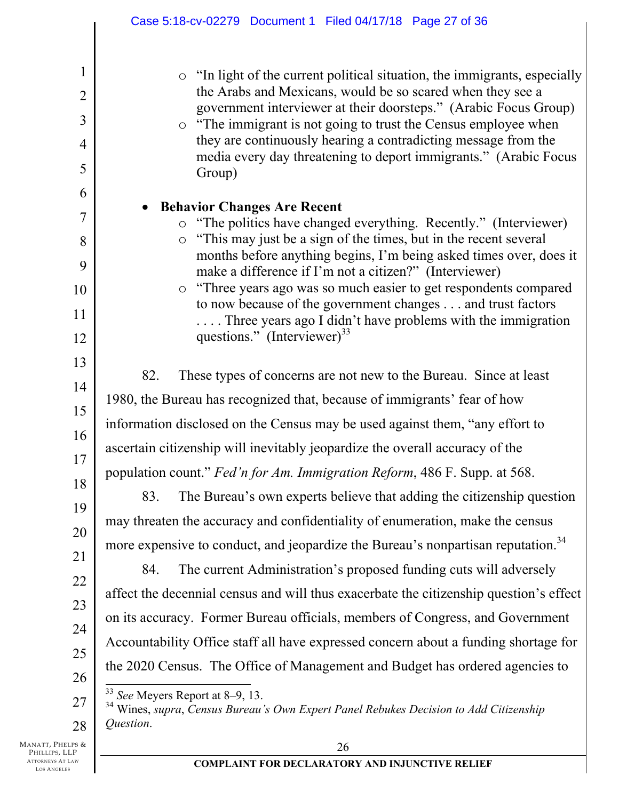|                   | Case 5:18-cv-02279 Document 1 Filed 04/17/18 Page 27 of 36                                                                                                                                                                                                                                                                                                                                                                                                                                                                                                                                                                                                                                                                                                                                                                                                                                           |
|-------------------|------------------------------------------------------------------------------------------------------------------------------------------------------------------------------------------------------------------------------------------------------------------------------------------------------------------------------------------------------------------------------------------------------------------------------------------------------------------------------------------------------------------------------------------------------------------------------------------------------------------------------------------------------------------------------------------------------------------------------------------------------------------------------------------------------------------------------------------------------------------------------------------------------|
|                   | • "In light of the current political situation, the immigrants, especially<br>the Arabs and Mexicans, would be so scared when they see a<br>government interviewer at their doorsteps." (Arabic Focus Group)<br>• "The immigrant is not going to trust the Census employee when<br>they are continuously hearing a contradicting message from the<br>media every day threatening to deport immigrants." (Arabic Focus<br>Group)                                                                                                                                                                                                                                                                                                                                                                                                                                                                      |
|                   | <b>Behavior Changes Are Recent</b><br>"The politics have changed everything. Recently." (Interviewer)<br>$\circ$<br>"This may just be a sign of the times, but in the recent several<br>$\circ$<br>months before anything begins, I'm being asked times over, does it<br>make a difference if I'm not a citizen?" (Interviewer)<br>• "Three years ago was so much easier to get respondents compared<br>to now because of the government changes and trust factors<br>Three years ago I didn't have problems with the immigration<br>questions." $(Interviewer)^{33}$                                                                                                                                                                                                                                                                                                                                |
| 82.<br>83.<br>84. | These types of concerns are not new to the Bureau. Since at least<br>1980, the Bureau has recognized that, because of immigrants' fear of how<br>information disclosed on the Census may be used against them, "any effort to<br>ascertain citizenship will inevitably jeopardize the overall accuracy of the<br>population count." Fed'n for Am. Immigration Reform, 486 F. Supp. at 568.<br>The Bureau's own experts believe that adding the citizenship question<br>may threaten the accuracy and confidentiality of enumeration, make the census<br>more expensive to conduct, and jeopardize the Bureau's nonpartisan reputation. <sup>34</sup><br>The current Administration's proposed funding cuts will adversely<br>affect the decennial census and will thus exacerbate the citizenship question's effect<br>on its accuracy. Former Bureau officials, members of Congress, and Government |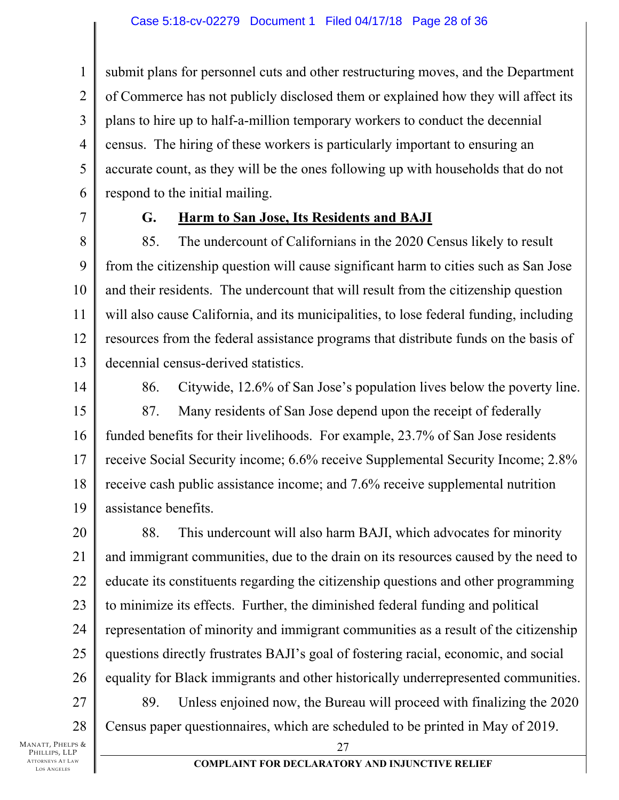3 4 submit plans for personnel cuts and other restructuring moves, and the Department of Commerce has not publicly disclosed them or explained how they will affect its plans to hire up to half-a-million temporary workers to conduct the decennial census. The hiring of these workers is particularly important to ensuring an accurate count, as they will be the ones following up with households that do not respond to the initial mailing.

7

6

5

1

2

### **G. Harm to San Jose, Its Residents and BAJI**

8 9 10 11 12 13 85. The undercount of Californians in the 2020 Census likely to result from the citizenship question will cause significant harm to cities such as San Jose and their residents. The undercount that will result from the citizenship question will also cause California, and its municipalities, to lose federal funding, including resources from the federal assistance programs that distribute funds on the basis of decennial census-derived statistics.

14

15

16

17

18

19

86. Citywide, 12.6% of San Jose's population lives below the poverty line. 87. Many residents of San Jose depend upon the receipt of federally funded benefits for their livelihoods. For example, 23.7% of San Jose residents receive Social Security income; 6.6% receive Supplemental Security Income; 2.8% receive cash public assistance income; and 7.6% receive supplemental nutrition assistance benefits.

20 21 22 23 24 25 26 27 28 88. This undercount will also harm BAJI, which advocates for minority and immigrant communities, due to the drain on its resources caused by the need to educate its constituents regarding the citizenship questions and other programming to minimize its effects. Further, the diminished federal funding and political representation of minority and immigrant communities as a result of the citizenship questions directly frustrates BAJI's goal of fostering racial, economic, and social equality for Black immigrants and other historically underrepresented communities. 89. Unless enjoined now, the Bureau will proceed with finalizing the 2020 Census paper questionnaires, which are scheduled to be printed in May of 2019.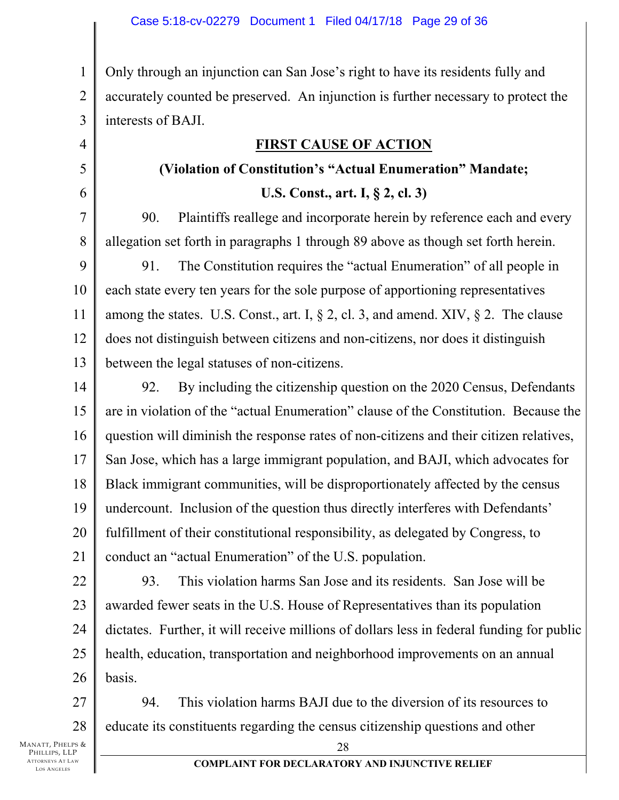1 2 3 Only through an injunction can San Jose's right to have its residents fully and accurately counted be preserved. An injunction is further necessary to protect the interests of BAJI.

### **FIRST CAUSE OF ACTION**

### **(Violation of Constitution's "Actual Enumeration" Mandate;**

### **U.S. Const., art. I, § 2, cl. 3)**

90. Plaintiffs reallege and incorporate herein by reference each and every allegation set forth in paragraphs 1 through 89 above as though set forth herein.

9 10 11 12 13 91. The Constitution requires the "actual Enumeration" of all people in each state every ten years for the sole purpose of apportioning representatives among the states. U.S. Const., art. I,  $\S 2$ , cl. 3, and amend. XIV,  $\S 2$ . The clause does not distinguish between citizens and non-citizens, nor does it distinguish between the legal statuses of non-citizens.

14 15 16 17 18 19 20 21 92. By including the citizenship question on the 2020 Census, Defendants are in violation of the "actual Enumeration" clause of the Constitution. Because the question will diminish the response rates of non-citizens and their citizen relatives, San Jose, which has a large immigrant population, and BAJI, which advocates for Black immigrant communities, will be disproportionately affected by the census undercount. Inclusion of the question thus directly interferes with Defendants' fulfillment of their constitutional responsibility, as delegated by Congress, to conduct an "actual Enumeration" of the U.S. population.

22 23 24 25 26 93. This violation harms San Jose and its residents. San Jose will be awarded fewer seats in the U.S. House of Representatives than its population dictates. Further, it will receive millions of dollars less in federal funding for public health, education, transportation and neighborhood improvements on an annual basis.

27 28 94. This violation harms BAJI due to the diversion of its resources to educate its constituents regarding the census citizenship questions and other

MANATT, PHELPS & PHILLIPS, LLP ATTORNEYS AT LAW LOS ANGELES

4

5

6

7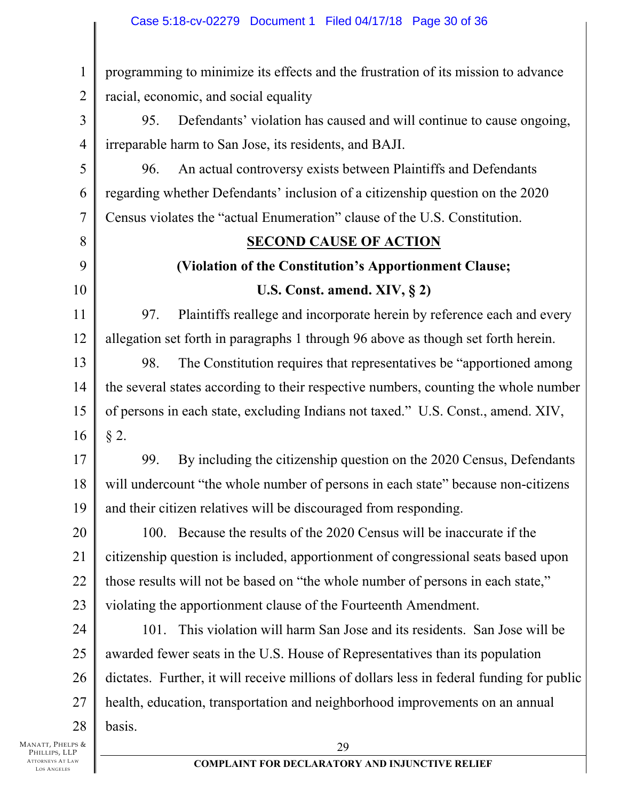1 2 3 4 5 6 7 8 9 10 11 12 13 14 15 programming to minimize its effects and the frustration of its mission to advance racial, economic, and social equality 95. Defendants' violation has caused and will continue to cause ongoing, irreparable harm to San Jose, its residents, and BAJI. 96. An actual controversy exists between Plaintiffs and Defendants regarding whether Defendants' inclusion of a citizenship question on the 2020 Census violates the "actual Enumeration" clause of the U.S. Constitution. **SECOND CAUSE OF ACTION (Violation of the Constitution's Apportionment Clause; U.S. Const. amend. XIV, § 2)**  97. Plaintiffs reallege and incorporate herein by reference each and every allegation set forth in paragraphs 1 through 96 above as though set forth herein. 98. The Constitution requires that representatives be "apportioned among the several states according to their respective numbers, counting the whole number of persons in each state, excluding Indians not taxed." U.S. Const., amend. XIV, Case 5:18-cv-02279 Document 1 Filed 04/17/18 Page 30 of 36

16 § 2.

17 18 19 99. By including the citizenship question on the 2020 Census, Defendants will undercount "the whole number of persons in each state" because non-citizens and their citizen relatives will be discouraged from responding.

20 21 22 23 100. Because the results of the 2020 Census will be inaccurate if the citizenship question is included, apportionment of congressional seats based upon those results will not be based on "the whole number of persons in each state," violating the apportionment clause of the Fourteenth Amendment.

24 25 26 27 28 101. This violation will harm San Jose and its residents. San Jose will be awarded fewer seats in the U.S. House of Representatives than its population dictates. Further, it will receive millions of dollars less in federal funding for public health, education, transportation and neighborhood improvements on an annual basis.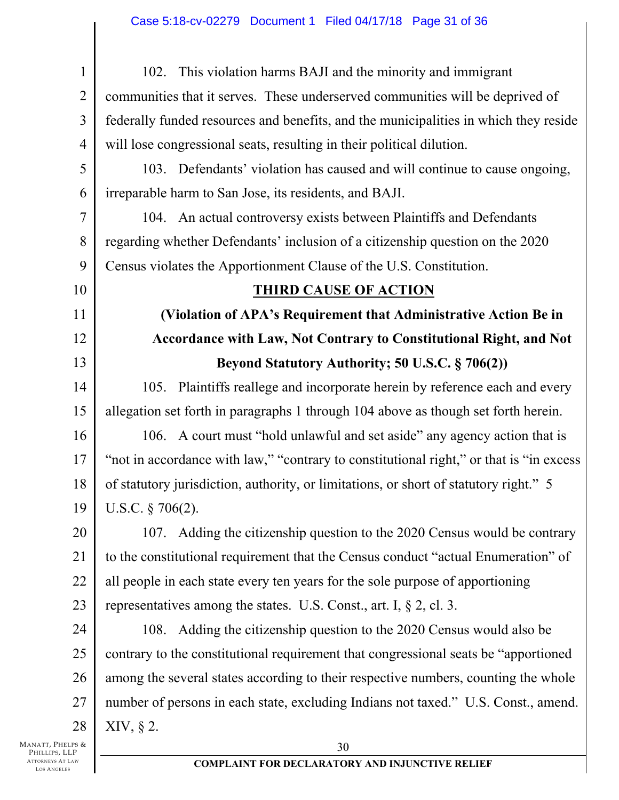| $\mathbf{1}$         | 102. This violation harms BAJI and the minority and immigrant                            |
|----------------------|------------------------------------------------------------------------------------------|
| $\overline{2}$       | communities that it serves. These underserved communities will be deprived of            |
| 3                    | federally funded resources and benefits, and the municipalities in which they reside     |
| $\overline{4}$       | will lose congressional seats, resulting in their political dilution.                    |
| 5                    | 103. Defendants' violation has caused and will continue to cause ongoing,                |
| 6                    | irreparable harm to San Jose, its residents, and BAJI.                                   |
| 7                    | 104. An actual controversy exists between Plaintiffs and Defendants                      |
| 8                    | regarding whether Defendants' inclusion of a citizenship question on the 2020            |
| 9                    | Census violates the Apportionment Clause of the U.S. Constitution.                       |
| 10                   | <b>THIRD CAUSE OF ACTION</b>                                                             |
| 11                   | (Violation of APA's Requirement that Administrative Action Be in                         |
| 12                   | Accordance with Law, Not Contrary to Constitutional Right, and Not                       |
| 13                   | Beyond Statutory Authority; 50 U.S.C. § 706(2))                                          |
| 14                   | 105. Plaintiffs reallege and incorporate herein by reference each and every              |
| 15                   | allegation set forth in paragraphs 1 through 104 above as though set forth herein.       |
| 16                   | 106. A court must "hold unlawful and set aside" any agency action that is                |
| 17                   | "not in accordance with law," "contrary to constitutional right," or that is "in excess" |
| 18                   | of statutory jurisdiction, authority, or limitations, or short of statutory right." 5    |
| 19                   | U.S.C. $§ 706(2)$ .                                                                      |
| 20                   | 107. Adding the citizenship question to the 2020 Census would be contrary                |
| 21                   | to the constitutional requirement that the Census conduct "actual Enumeration" of        |
| 22                   | all people in each state every ten years for the sole purpose of apportioning            |
| 23                   | representatives among the states. U.S. Const., art. I, $\S$ 2, cl. 3.                    |
| 24                   | 108. Adding the citizenship question to the 2020 Census would also be                    |
| 25                   | contrary to the constitutional requirement that congressional seats be "apportioned"     |
| 26                   | among the several states according to their respective numbers, counting the whole       |
| 27                   | number of persons in each state, excluding Indians not taxed." U.S. Const., amend.       |
| 28                   | XIV, § 2.                                                                                |
| :LPS &<br>.LP<br>LAW | 30                                                                                       |
| :S                   | <b>COMPLAINT FOR DECLARATORY AND INJUNCTIVE RELIEF</b>                                   |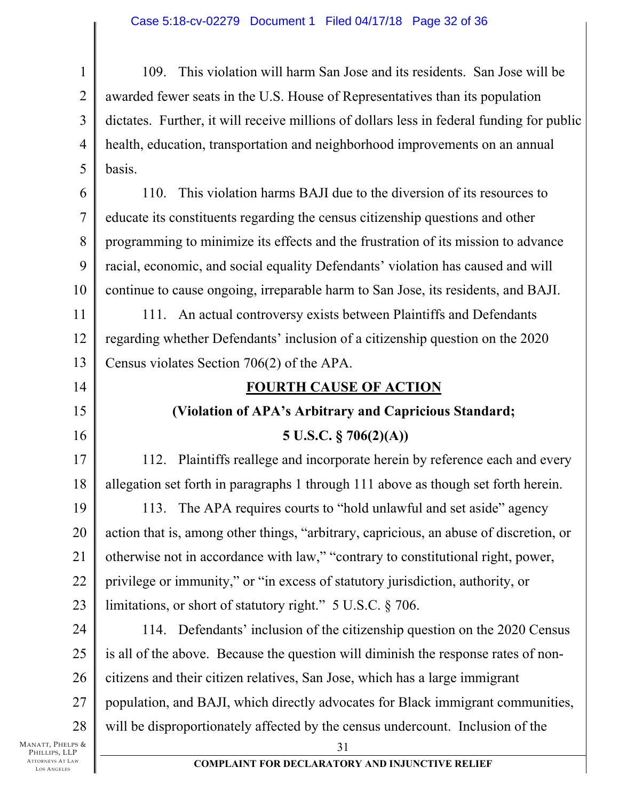1 2 3 4 5 109. This violation will harm San Jose and its residents. San Jose will be awarded fewer seats in the U.S. House of Representatives than its population dictates. Further, it will receive millions of dollars less in federal funding for public health, education, transportation and neighborhood improvements on an annual basis.

6 7 8 9 10 110. This violation harms BAJI due to the diversion of its resources to educate its constituents regarding the census citizenship questions and other programming to minimize its effects and the frustration of its mission to advance racial, economic, and social equality Defendants' violation has caused and will continue to cause ongoing, irreparable harm to San Jose, its residents, and BAJI.

11 12 13 111. An actual controversy exists between Plaintiffs and Defendants regarding whether Defendants' inclusion of a citizenship question on the 2020 Census violates Section 706(2) of the APA.

### **FOURTH CAUSE OF ACTION**

# **(Violation of APA's Arbitrary and Capricious Standard;**

### **5 U.S.C. § 706(2)(A))**

17 18 112. Plaintiffs reallege and incorporate herein by reference each and every allegation set forth in paragraphs 1 through 111 above as though set forth herein.

19 20 21 22 23 113. The APA requires courts to "hold unlawful and set aside" agency action that is, among other things, "arbitrary, capricious, an abuse of discretion, or otherwise not in accordance with law," "contrary to constitutional right, power, privilege or immunity," or "in excess of statutory jurisdiction, authority, or limitations, or short of statutory right." 5 U.S.C. § 706.

24 25 26 27 28 31 114. Defendants' inclusion of the citizenship question on the 2020 Census is all of the above. Because the question will diminish the response rates of noncitizens and their citizen relatives, San Jose, which has a large immigrant population, and BAJI, which directly advocates for Black immigrant communities, will be disproportionately affected by the census undercount. Inclusion of the

MANATT, PHELPS & PHILLIPS, LLP ATTORNEYS AT LAW LOS ANGELES

14

15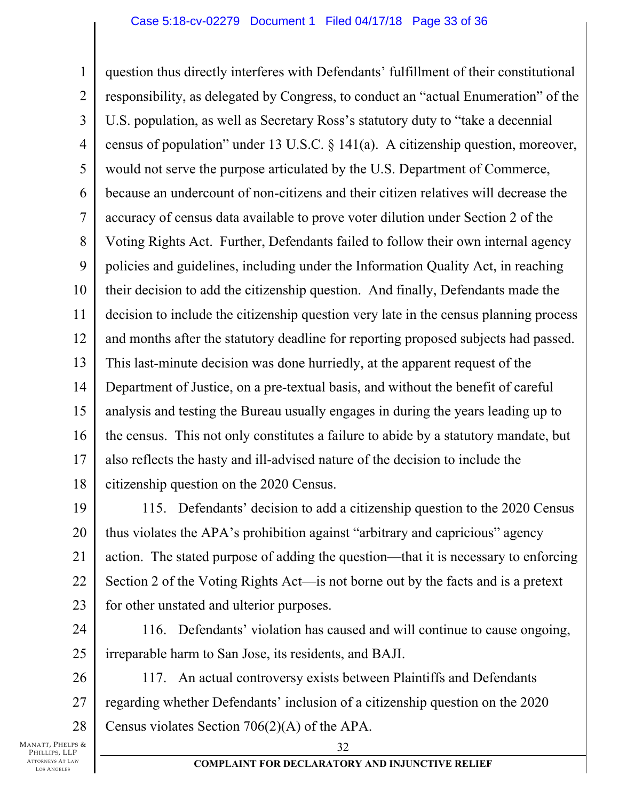1 2 3 4 5 6 7 8 9 10 11 12 13 14 15 16 17 18 question thus directly interferes with Defendants' fulfillment of their constitutional responsibility, as delegated by Congress, to conduct an "actual Enumeration" of the U.S. population, as well as Secretary Ross's statutory duty to "take a decennial census of population" under 13 U.S.C. § 141(a). A citizenship question, moreover, would not serve the purpose articulated by the U.S. Department of Commerce, because an undercount of non-citizens and their citizen relatives will decrease the accuracy of census data available to prove voter dilution under Section 2 of the Voting Rights Act. Further, Defendants failed to follow their own internal agency policies and guidelines, including under the Information Quality Act, in reaching their decision to add the citizenship question. And finally, Defendants made the decision to include the citizenship question very late in the census planning process and months after the statutory deadline for reporting proposed subjects had passed. This last-minute decision was done hurriedly, at the apparent request of the Department of Justice, on a pre-textual basis, and without the benefit of careful analysis and testing the Bureau usually engages in during the years leading up to the census. This not only constitutes a failure to abide by a statutory mandate, but also reflects the hasty and ill-advised nature of the decision to include the citizenship question on the 2020 Census.

19 20 21 22 23 115. Defendants' decision to add a citizenship question to the 2020 Census thus violates the APA's prohibition against "arbitrary and capricious" agency action. The stated purpose of adding the question—that it is necessary to enforcing Section 2 of the Voting Rights Act—is not borne out by the facts and is a pretext for other unstated and ulterior purposes.

24 25 116. Defendants' violation has caused and will continue to cause ongoing, irreparable harm to San Jose, its residents, and BAJI.

26 27 28 117. An actual controversy exists between Plaintiffs and Defendants regarding whether Defendants' inclusion of a citizenship question on the 2020 Census violates Section 706(2)(A) of the APA.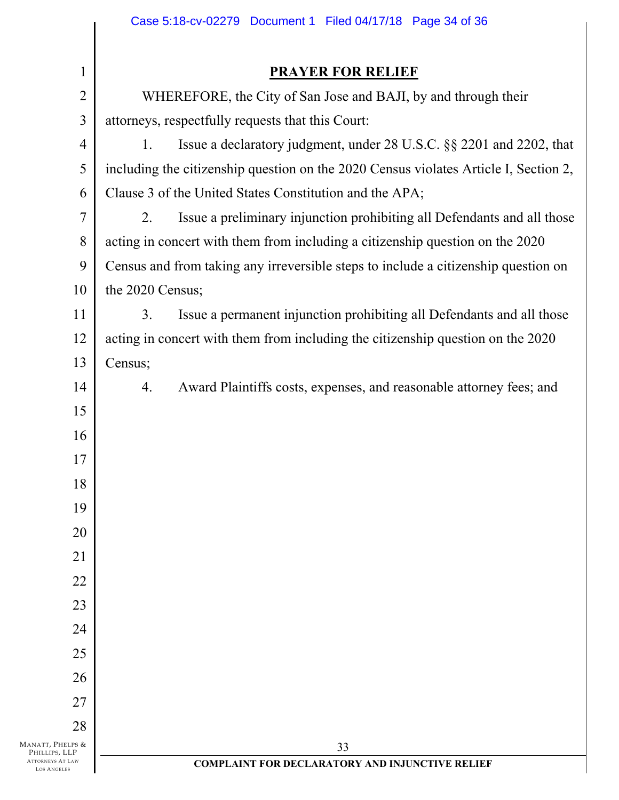|                                                              | Case 5:18-cv-02279 Document 1 Filed 04/17/18 Page 34 of 36                                  |  |
|--------------------------------------------------------------|---------------------------------------------------------------------------------------------|--|
|                                                              |                                                                                             |  |
| $\mathbf{1}$                                                 | <b>PRAYER FOR RELIEF</b>                                                                    |  |
| $\overline{2}$                                               | WHEREFORE, the City of San Jose and BAJI, by and through their                              |  |
| 3                                                            | attorneys, respectfully requests that this Court:                                           |  |
| $\overline{4}$                                               | Issue a declaratory judgment, under 28 U.S.C. §§ 2201 and 2202, that<br>1.                  |  |
| 5                                                            | including the citizenship question on the 2020 Census violates Article I, Section 2,        |  |
| 6                                                            | Clause 3 of the United States Constitution and the APA;                                     |  |
| 7                                                            | Issue a preliminary injunction prohibiting all Defendants and all those<br>$\overline{2}$ . |  |
| 8                                                            | acting in concert with them from including a citizenship question on the 2020               |  |
| 9                                                            | Census and from taking any irreversible steps to include a citizenship question on          |  |
| 10                                                           | the 2020 Census;                                                                            |  |
| 11                                                           | 3 <sub>1</sub><br>Issue a permanent injunction prohibiting all Defendants and all those     |  |
| 12                                                           | acting in concert with them from including the citizenship question on the 2020             |  |
| 13                                                           | Census;                                                                                     |  |
| 14                                                           | Award Plaintiffs costs, expenses, and reasonable attorney fees; and<br>4.                   |  |
| 15                                                           |                                                                                             |  |
| 16                                                           |                                                                                             |  |
| 17                                                           |                                                                                             |  |
| 18                                                           |                                                                                             |  |
| 19                                                           |                                                                                             |  |
| 20                                                           |                                                                                             |  |
| 21                                                           |                                                                                             |  |
| 22                                                           |                                                                                             |  |
| 23                                                           |                                                                                             |  |
| 24                                                           |                                                                                             |  |
| 25                                                           |                                                                                             |  |
| 26                                                           |                                                                                             |  |
| 27                                                           |                                                                                             |  |
| 28                                                           |                                                                                             |  |
| MANATT, PHELPS &<br>PHILLIPS, LLP<br><b>ATTORNEYS AT LAW</b> | 33<br><b>COMPLAINT FOR DECLARATORY AND INJUNCTIVE RELIEF</b>                                |  |
| <b>LOS ANGELES</b>                                           |                                                                                             |  |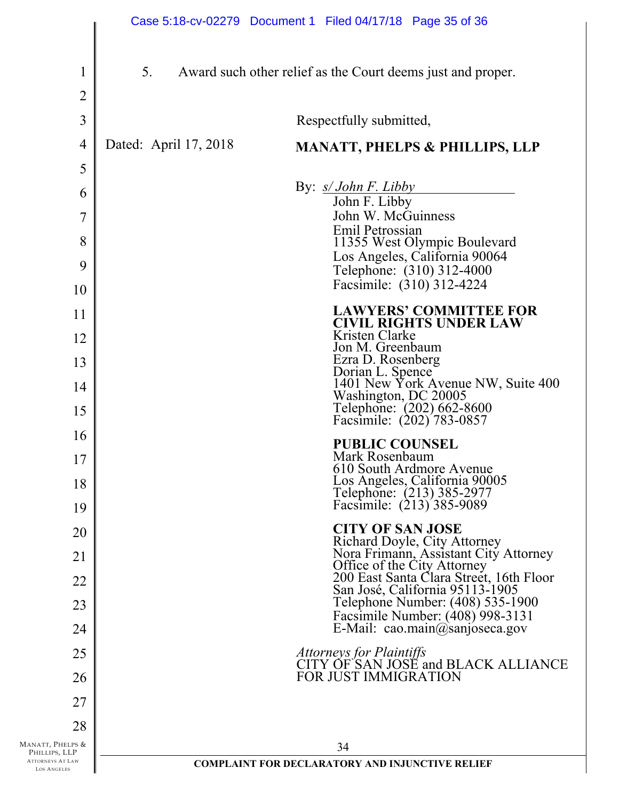|                                                              |                       | Case 5:18-cv-02279 Document 1 Filed 04/17/18 Page 35 of 36                                                           |
|--------------------------------------------------------------|-----------------------|----------------------------------------------------------------------------------------------------------------------|
| 1                                                            | 5.                    | Award such other relief as the Court deems just and proper.                                                          |
| $\overline{c}$                                               |                       |                                                                                                                      |
| 3                                                            |                       | Respectfully submitted,                                                                                              |
| $\overline{4}$                                               | Dated: April 17, 2018 | <b>MANATT, PHELPS &amp; PHILLIPS, LLP</b>                                                                            |
| 5                                                            |                       | By: <i>s/ John F. Libby</i>                                                                                          |
| 6                                                            |                       | John F. Libby                                                                                                        |
| 7                                                            |                       | John W. McGuinness<br>Emil Petrossian                                                                                |
| 8                                                            |                       | 11355 West Olympic Boulevard<br>Los Angeles, California 90064                                                        |
| 9                                                            |                       | Telephone: (310) 312-4000<br>Facsimile: (310) 312-4224                                                               |
| 10                                                           |                       | <b>LAWYERS' COMMITTEE FOR</b>                                                                                        |
| 11<br>12                                                     |                       | <b>CIVIL RIGHTS UNDER LAW</b><br>Kristen Clarke                                                                      |
| 13                                                           |                       | Jon M. Greenbaum                                                                                                     |
| 14                                                           |                       | Ezra D. Rosenberg<br>Dorian L. Spence                                                                                |
| 15                                                           |                       | 1401 New York Avenue NW, Suite 400<br>Washington, DC 20005<br>Telephone: (202) 662-8600<br>Facsimile: (202) 783-0857 |
| 16                                                           |                       |                                                                                                                      |
| 17                                                           |                       | <b>PUBLIC COUNSEL</b><br>Mark Rosenbaum                                                                              |
| 18                                                           |                       | 610 South Ardmore Avenue                                                                                             |
| 19                                                           |                       | Los Angeles, California 90005<br>Telephone: (213) 385-2977<br>Facsimile: (213) 385-9089                              |
| 20                                                           |                       | <b>CITY OF SAN JOSE</b>                                                                                              |
| 21                                                           |                       | Richard Doyle, City Attorney<br>Nora Frimann, Assistant City Attorney<br>Office of the City Attorney                 |
| 22                                                           |                       | 200 East Santa Clara Street, 16th Floor<br>San José, California 95113-1905                                           |
| 23                                                           |                       | Telephone Number: (408) 535-1900<br>Facsimile Number: (408) 998-3131                                                 |
| 24                                                           |                       | E-Mail: $cao.main@sanjoseca.gov$                                                                                     |
| 25                                                           |                       | Attorneys for Plaintiffs<br>CITY OF SAN JOSE and BLACK ALLIANCE                                                      |
| 26                                                           |                       | FOR JUST IMMIGRATION                                                                                                 |
| 27                                                           |                       |                                                                                                                      |
| 28                                                           |                       |                                                                                                                      |
| MANATT, PHELPS &<br>PHILLIPS, LLP<br><b>ATTORNEYS AT LAW</b> |                       | 34<br><b>COMPLAINT FOR DECLARATORY AND INJUNCTIVE RELIEF</b>                                                         |
| <b>LOS ANGELES</b>                                           |                       |                                                                                                                      |